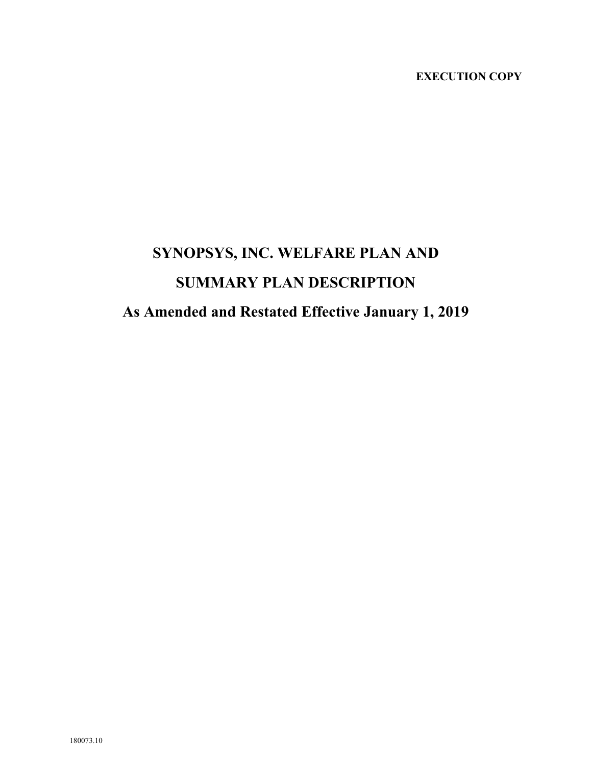# **EXECUTION COPY**

# **SYNOPSYS, INC. WELFARE PLAN AND SUMMARY PLAN DESCRIPTION As Amended and Restated Effective January 1, 2019**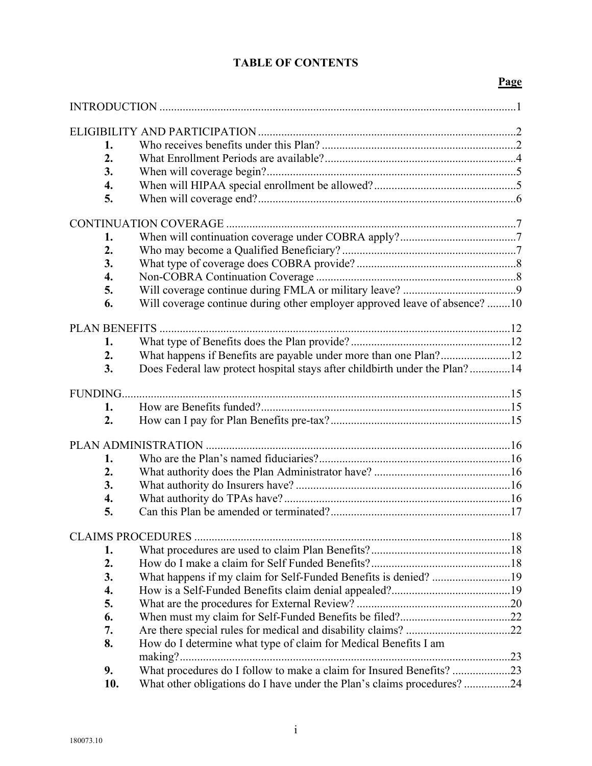# **TABLE OF CONTENTS**

# **Page**

| 1.                   |                                                                            |  |
|----------------------|----------------------------------------------------------------------------|--|
| 2.                   |                                                                            |  |
| 3.                   |                                                                            |  |
| 4.                   |                                                                            |  |
| 5.                   |                                                                            |  |
|                      |                                                                            |  |
| 1.                   |                                                                            |  |
| 2.                   |                                                                            |  |
| 3.                   |                                                                            |  |
| 4.                   |                                                                            |  |
| 5.                   |                                                                            |  |
| 6.                   | Will coverage continue during other employer approved leave of absence? 10 |  |
|                      |                                                                            |  |
| <b>PLAN BENEFITS</b> |                                                                            |  |
| 1.                   |                                                                            |  |
| 2.                   |                                                                            |  |
| 3.                   | Does Federal law protect hospital stays after childbirth under the Plan?14 |  |
|                      |                                                                            |  |
| FUNDING              |                                                                            |  |
| 1.                   |                                                                            |  |
| 2.                   |                                                                            |  |
|                      |                                                                            |  |
| 1.                   |                                                                            |  |
| 2.                   |                                                                            |  |
| 3.                   |                                                                            |  |
| 4.                   |                                                                            |  |
| 5.                   |                                                                            |  |
|                      |                                                                            |  |
|                      |                                                                            |  |
| 1.                   |                                                                            |  |
| 2.                   |                                                                            |  |
| 3.                   | What happens if my claim for Self-Funded Benefits is denied? 19            |  |
| 4.                   |                                                                            |  |
| 5.                   |                                                                            |  |
| 6.                   |                                                                            |  |
| 7.                   |                                                                            |  |
| 8.                   | How do I determine what type of claim for Medical Benefits I am            |  |
|                      |                                                                            |  |
| 9.                   | What procedures do I follow to make a claim for Insured Benefits? 23       |  |
| 10.                  | What other obligations do I have under the Plan's claims procedures?24     |  |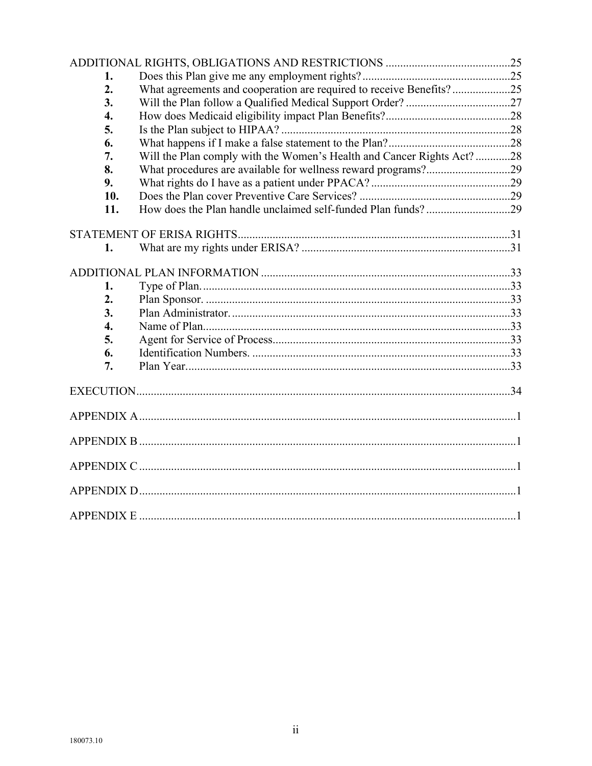| 1.               |                                                                       |  |  |
|------------------|-----------------------------------------------------------------------|--|--|
| 2.               | What agreements and cooperation are required to receive Benefits?25   |  |  |
| 3.               |                                                                       |  |  |
| $\overline{4}$ . |                                                                       |  |  |
| 5.               |                                                                       |  |  |
| 6.               |                                                                       |  |  |
| 7.               | Will the Plan comply with the Women's Health and Cancer Rights Act?28 |  |  |
| 8.               |                                                                       |  |  |
| 9.               |                                                                       |  |  |
| 10.              |                                                                       |  |  |
| 11.              |                                                                       |  |  |
|                  |                                                                       |  |  |
| 1.               |                                                                       |  |  |
|                  |                                                                       |  |  |
|                  |                                                                       |  |  |
| 1.               |                                                                       |  |  |
| 2.               |                                                                       |  |  |
| 3.               |                                                                       |  |  |
| 4.               |                                                                       |  |  |
| 5.               |                                                                       |  |  |
| 6.               |                                                                       |  |  |
| 7.               |                                                                       |  |  |
|                  |                                                                       |  |  |
|                  |                                                                       |  |  |
|                  |                                                                       |  |  |
|                  |                                                                       |  |  |
|                  |                                                                       |  |  |
|                  |                                                                       |  |  |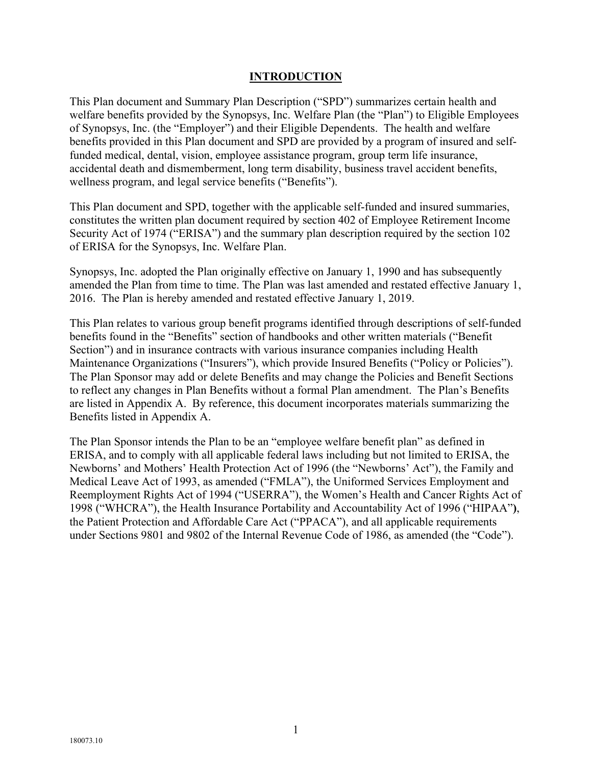#### **INTRODUCTION**

This Plan document and Summary Plan Description ("SPD") summarizes certain health and welfare benefits provided by the Synopsys, Inc. Welfare Plan (the "Plan") to Eligible Employees of Synopsys, Inc. (the "Employer") and their Eligible Dependents. The health and welfare benefits provided in this Plan document and SPD are provided by a program of insured and selffunded medical, dental, vision, employee assistance program, group term life insurance, accidental death and dismemberment, long term disability, business travel accident benefits, wellness program, and legal service benefits ("Benefits").

This Plan document and SPD, together with the applicable self-funded and insured summaries, constitutes the written plan document required by section 402 of Employee Retirement Income Security Act of 1974 ("ERISA") and the summary plan description required by the section 102 of ERISA for the Synopsys, Inc. Welfare Plan.

Synopsys, Inc. adopted the Plan originally effective on January 1, 1990 and has subsequently amended the Plan from time to time. The Plan was last amended and restated effective January 1, 2016. The Plan is hereby amended and restated effective January 1, 2019.

This Plan relates to various group benefit programs identified through descriptions of self-funded benefits found in the "Benefits" section of handbooks and other written materials ("Benefit Section") and in insurance contracts with various insurance companies including Health Maintenance Organizations ("Insurers"), which provide Insured Benefits ("Policy or Policies"). The Plan Sponsor may add or delete Benefits and may change the Policies and Benefit Sections to reflect any changes in Plan Benefits without a formal Plan amendment. The Plan's Benefits are listed in Appendix A. By reference, this document incorporates materials summarizing the Benefits listed in Appendix A.

The Plan Sponsor intends the Plan to be an "employee welfare benefit plan" as defined in ERISA, and to comply with all applicable federal laws including but not limited to ERISA, the Newborns' and Mothers' Health Protection Act of 1996 (the "Newborns' Act"), the Family and Medical Leave Act of 1993, as amended ("FMLA"), the Uniformed Services Employment and Reemployment Rights Act of 1994 ("USERRA"), the Women's Health and Cancer Rights Act of 1998 ("WHCRA"), the Health Insurance Portability and Accountability Act of 1996 ("HIPAA"**)**, the Patient Protection and Affordable Care Act ("PPACA"), and all applicable requirements under Sections 9801 and 9802 of the Internal Revenue Code of 1986, as amended (the "Code").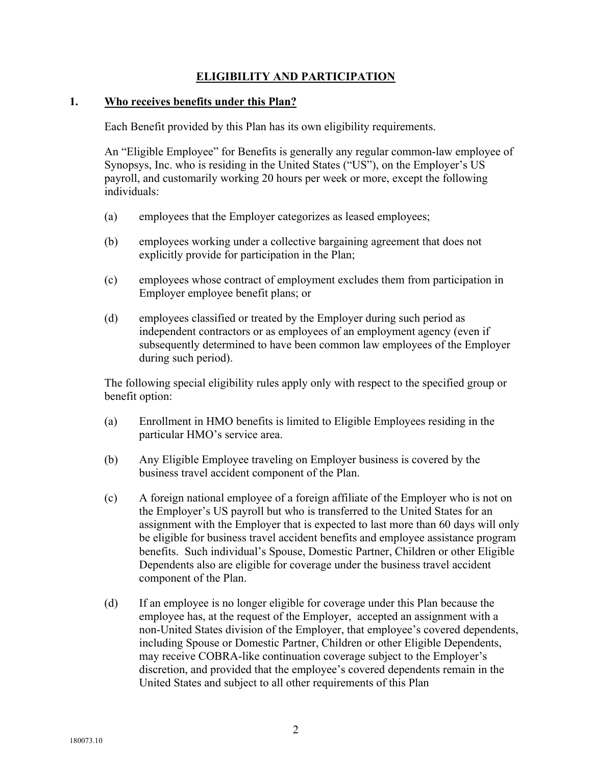# **ELIGIBILITY AND PARTICIPATION**

#### **1. Who receives benefits under this Plan?**

Each Benefit provided by this Plan has its own eligibility requirements.

An "Eligible Employee" for Benefits is generally any regular common-law employee of Synopsys, Inc. who is residing in the United States ("US"), on the Employer's US payroll, and customarily working 20 hours per week or more, except the following individuals:

- (a) employees that the Employer categorizes as leased employees;
- (b) employees working under a collective bargaining agreement that does not explicitly provide for participation in the Plan;
- (c) employees whose contract of employment excludes them from participation in Employer employee benefit plans; or
- (d) employees classified or treated by the Employer during such period as independent contractors or as employees of an employment agency (even if subsequently determined to have been common law employees of the Employer during such period).

The following special eligibility rules apply only with respect to the specified group or benefit option:

- (a) Enrollment in HMO benefits is limited to Eligible Employees residing in the particular HMO's service area.
- (b) Any Eligible Employee traveling on Employer business is covered by the business travel accident component of the Plan.
- (c) A foreign national employee of a foreign affiliate of the Employer who is not on the Employer's US payroll but who is transferred to the United States for an assignment with the Employer that is expected to last more than 60 days will only be eligible for business travel accident benefits and employee assistance program benefits. Such individual's Spouse, Domestic Partner, Children or other Eligible Dependents also are eligible for coverage under the business travel accident component of the Plan.
- (d) If an employee is no longer eligible for coverage under this Plan because the employee has, at the request of the Employer, accepted an assignment with a non-United States division of the Employer, that employee's covered dependents, including Spouse or Domestic Partner, Children or other Eligible Dependents, may receive COBRA-like continuation coverage subject to the Employer's discretion, and provided that the employee's covered dependents remain in the United States and subject to all other requirements of this Plan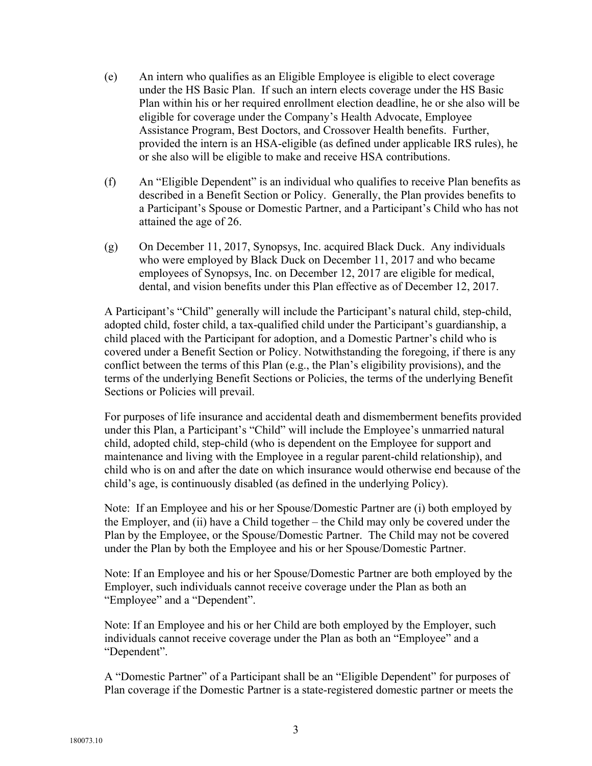- (e) An intern who qualifies as an Eligible Employee is eligible to elect coverage under the HS Basic Plan. If such an intern elects coverage under the HS Basic Plan within his or her required enrollment election deadline, he or she also will be eligible for coverage under the Company's Health Advocate, Employee Assistance Program, Best Doctors, and Crossover Health benefits. Further, provided the intern is an HSA-eligible (as defined under applicable IRS rules), he or she also will be eligible to make and receive HSA contributions.
- (f) An "Eligible Dependent" is an individual who qualifies to receive Plan benefits as described in a Benefit Section or Policy. Generally, the Plan provides benefits to a Participant's Spouse or Domestic Partner, and a Participant's Child who has not attained the age of 26.
- (g) On December 11, 2017, Synopsys, Inc. acquired Black Duck. Any individuals who were employed by Black Duck on December 11, 2017 and who became employees of Synopsys, Inc. on December 12, 2017 are eligible for medical, dental, and vision benefits under this Plan effective as of December 12, 2017.

A Participant's "Child" generally will include the Participant's natural child, step-child, adopted child, foster child, a tax-qualified child under the Participant's guardianship, a child placed with the Participant for adoption, and a Domestic Partner's child who is covered under a Benefit Section or Policy. Notwithstanding the foregoing, if there is any conflict between the terms of this Plan (e.g., the Plan's eligibility provisions), and the terms of the underlying Benefit Sections or Policies, the terms of the underlying Benefit Sections or Policies will prevail.

For purposes of life insurance and accidental death and dismemberment benefits provided under this Plan, a Participant's "Child" will include the Employee's unmarried natural child, adopted child, step-child (who is dependent on the Employee for support and maintenance and living with the Employee in a regular parent-child relationship), and child who is on and after the date on which insurance would otherwise end because of the child's age, is continuously disabled (as defined in the underlying Policy).

Note: If an Employee and his or her Spouse/Domestic Partner are (i) both employed by the Employer, and (ii) have a Child together – the Child may only be covered under the Plan by the Employee, or the Spouse/Domestic Partner. The Child may not be covered under the Plan by both the Employee and his or her Spouse/Domestic Partner.

Note: If an Employee and his or her Spouse/Domestic Partner are both employed by the Employer, such individuals cannot receive coverage under the Plan as both an "Employee" and a "Dependent".

Note: If an Employee and his or her Child are both employed by the Employer, such individuals cannot receive coverage under the Plan as both an "Employee" and a "Dependent".

A "Domestic Partner" of a Participant shall be an "Eligible Dependent" for purposes of Plan coverage if the Domestic Partner is a state-registered domestic partner or meets the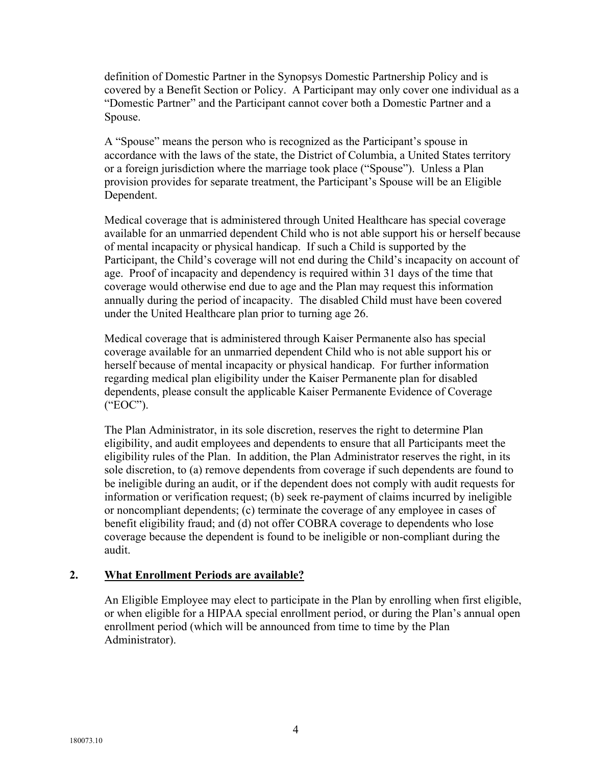definition of Domestic Partner in the Synopsys Domestic Partnership Policy and is covered by a Benefit Section or Policy. A Participant may only cover one individual as a "Domestic Partner" and the Participant cannot cover both a Domestic Partner and a Spouse.

A "Spouse" means the person who is recognized as the Participant's spouse in accordance with the laws of the state, the District of Columbia, a United States territory or a foreign jurisdiction where the marriage took place ("Spouse"). Unless a Plan provision provides for separate treatment, the Participant's Spouse will be an Eligible Dependent.

Medical coverage that is administered through United Healthcare has special coverage available for an unmarried dependent Child who is not able support his or herself because of mental incapacity or physical handicap. If such a Child is supported by the Participant, the Child's coverage will not end during the Child's incapacity on account of age. Proof of incapacity and dependency is required within 31 days of the time that coverage would otherwise end due to age and the Plan may request this information annually during the period of incapacity. The disabled Child must have been covered under the United Healthcare plan prior to turning age 26.

Medical coverage that is administered through Kaiser Permanente also has special coverage available for an unmarried dependent Child who is not able support his or herself because of mental incapacity or physical handicap. For further information regarding medical plan eligibility under the Kaiser Permanente plan for disabled dependents, please consult the applicable Kaiser Permanente Evidence of Coverage ("EOC").

The Plan Administrator, in its sole discretion, reserves the right to determine Plan eligibility, and audit employees and dependents to ensure that all Participants meet the eligibility rules of the Plan. In addition, the Plan Administrator reserves the right, in its sole discretion, to (a) remove dependents from coverage if such dependents are found to be ineligible during an audit, or if the dependent does not comply with audit requests for information or verification request; (b) seek re-payment of claims incurred by ineligible or noncompliant dependents; (c) terminate the coverage of any employee in cases of benefit eligibility fraud; and (d) not offer COBRA coverage to dependents who lose coverage because the dependent is found to be ineligible or non-compliant during the audit.

#### **2. What Enrollment Periods are available?**

An Eligible Employee may elect to participate in the Plan by enrolling when first eligible, or when eligible for a HIPAA special enrollment period, or during the Plan's annual open enrollment period (which will be announced from time to time by the Plan Administrator).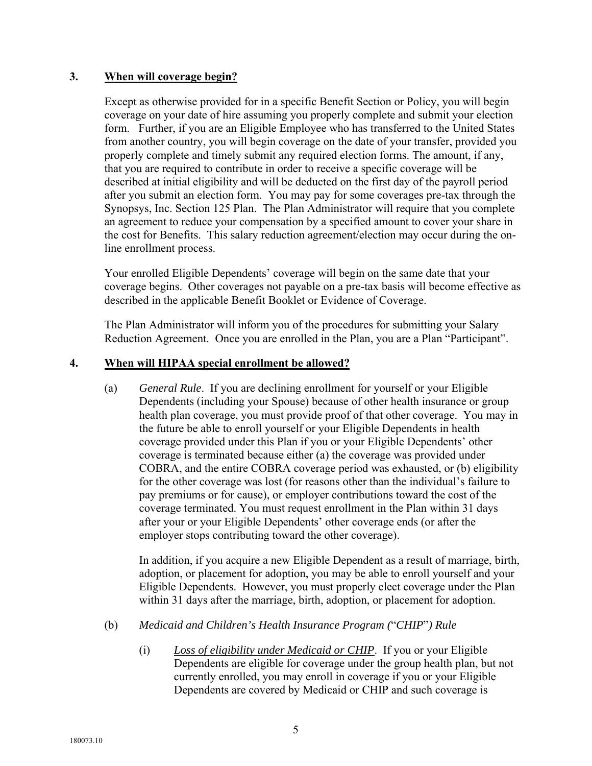## **3. When will coverage begin?**

Except as otherwise provided for in a specific Benefit Section or Policy, you will begin coverage on your date of hire assuming you properly complete and submit your election form. Further, if you are an Eligible Employee who has transferred to the United States from another country, you will begin coverage on the date of your transfer, provided you properly complete and timely submit any required election forms. The amount, if any, that you are required to contribute in order to receive a specific coverage will be described at initial eligibility and will be deducted on the first day of the payroll period after you submit an election form. You may pay for some coverages pre-tax through the Synopsys, Inc. Section 125 Plan. The Plan Administrator will require that you complete an agreement to reduce your compensation by a specified amount to cover your share in the cost for Benefits. This salary reduction agreement/election may occur during the online enrollment process.

Your enrolled Eligible Dependents' coverage will begin on the same date that your coverage begins. Other coverages not payable on a pre-tax basis will become effective as described in the applicable Benefit Booklet or Evidence of Coverage.

The Plan Administrator will inform you of the procedures for submitting your Salary Reduction Agreement. Once you are enrolled in the Plan, you are a Plan "Participant".

#### **4. When will HIPAA special enrollment be allowed?**

(a) *General Rule*. If you are declining enrollment for yourself or your Eligible Dependents (including your Spouse) because of other health insurance or group health plan coverage, you must provide proof of that other coverage. You may in the future be able to enroll yourself or your Eligible Dependents in health coverage provided under this Plan if you or your Eligible Dependents' other coverage is terminated because either (a) the coverage was provided under COBRA, and the entire COBRA coverage period was exhausted, or (b) eligibility for the other coverage was lost (for reasons other than the individual's failure to pay premiums or for cause), or employer contributions toward the cost of the coverage terminated. You must request enrollment in the Plan within 31 days after your or your Eligible Dependents' other coverage ends (or after the employer stops contributing toward the other coverage).

In addition, if you acquire a new Eligible Dependent as a result of marriage, birth, adoption, or placement for adoption, you may be able to enroll yourself and your Eligible Dependents. However, you must properly elect coverage under the Plan within 31 days after the marriage, birth, adoption, or placement for adoption.

#### (b) *Medicaid and Children's Health Insurance Program (*"*CHIP*"*) Rule*

(i) *Loss of eligibility under Medicaid or CHIP*. If you or your Eligible Dependents are eligible for coverage under the group health plan, but not currently enrolled, you may enroll in coverage if you or your Eligible Dependents are covered by Medicaid or CHIP and such coverage is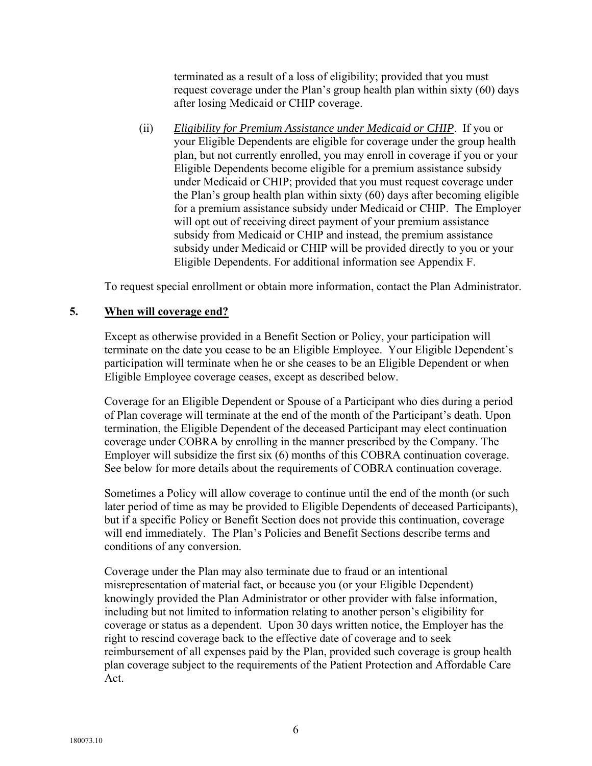terminated as a result of a loss of eligibility; provided that you must request coverage under the Plan's group health plan within sixty (60) days after losing Medicaid or CHIP coverage.

(ii) *Eligibility for Premium Assistance under Medicaid or CHIP*. If you or your Eligible Dependents are eligible for coverage under the group health plan, but not currently enrolled, you may enroll in coverage if you or your Eligible Dependents become eligible for a premium assistance subsidy under Medicaid or CHIP; provided that you must request coverage under the Plan's group health plan within sixty (60) days after becoming eligible for a premium assistance subsidy under Medicaid or CHIP. The Employer will opt out of receiving direct payment of your premium assistance subsidy from Medicaid or CHIP and instead, the premium assistance subsidy under Medicaid or CHIP will be provided directly to you or your Eligible Dependents. For additional information see Appendix F.

To request special enrollment or obtain more information, contact the Plan Administrator.

#### **5. When will coverage end?**

Except as otherwise provided in a Benefit Section or Policy, your participation will terminate on the date you cease to be an Eligible Employee. Your Eligible Dependent's participation will terminate when he or she ceases to be an Eligible Dependent or when Eligible Employee coverage ceases, except as described below.

Coverage for an Eligible Dependent or Spouse of a Participant who dies during a period of Plan coverage will terminate at the end of the month of the Participant's death. Upon termination, the Eligible Dependent of the deceased Participant may elect continuation coverage under COBRA by enrolling in the manner prescribed by the Company. The Employer will subsidize the first six (6) months of this COBRA continuation coverage. See below for more details about the requirements of COBRA continuation coverage.

Sometimes a Policy will allow coverage to continue until the end of the month (or such later period of time as may be provided to Eligible Dependents of deceased Participants), but if a specific Policy or Benefit Section does not provide this continuation, coverage will end immediately. The Plan's Policies and Benefit Sections describe terms and conditions of any conversion.

Coverage under the Plan may also terminate due to fraud or an intentional misrepresentation of material fact, or because you (or your Eligible Dependent) knowingly provided the Plan Administrator or other provider with false information, including but not limited to information relating to another person's eligibility for coverage or status as a dependent. Upon 30 days written notice, the Employer has the right to rescind coverage back to the effective date of coverage and to seek reimbursement of all expenses paid by the Plan, provided such coverage is group health plan coverage subject to the requirements of the Patient Protection and Affordable Care Act.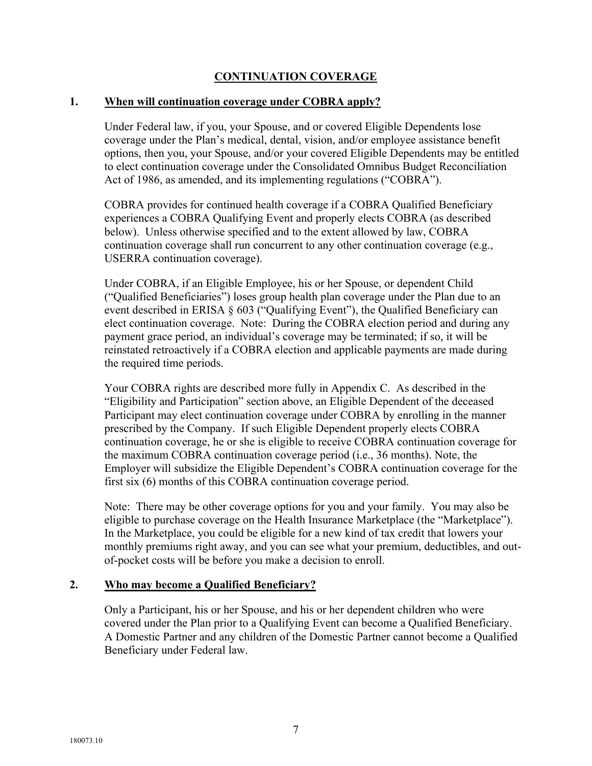# **CONTINUATION COVERAGE**

#### **1. When will continuation coverage under COBRA apply?**

Under Federal law, if you, your Spouse, and or covered Eligible Dependents lose coverage under the Plan's medical, dental, vision, and/or employee assistance benefit options, then you, your Spouse, and/or your covered Eligible Dependents may be entitled to elect continuation coverage under the Consolidated Omnibus Budget Reconciliation Act of 1986, as amended, and its implementing regulations ("COBRA").

COBRA provides for continued health coverage if a COBRA Qualified Beneficiary experiences a COBRA Qualifying Event and properly elects COBRA (as described below). Unless otherwise specified and to the extent allowed by law, COBRA continuation coverage shall run concurrent to any other continuation coverage (e.g., USERRA continuation coverage).

Under COBRA, if an Eligible Employee, his or her Spouse, or dependent Child ("Qualified Beneficiaries") loses group health plan coverage under the Plan due to an event described in ERISA § 603 ("Qualifying Event"), the Qualified Beneficiary can elect continuation coverage. Note: During the COBRA election period and during any payment grace period, an individual's coverage may be terminated; if so, it will be reinstated retroactively if a COBRA election and applicable payments are made during the required time periods.

Your COBRA rights are described more fully in Appendix C. As described in the "Eligibility and Participation" section above, an Eligible Dependent of the deceased Participant may elect continuation coverage under COBRA by enrolling in the manner prescribed by the Company. If such Eligible Dependent properly elects COBRA continuation coverage, he or she is eligible to receive COBRA continuation coverage for the maximum COBRA continuation coverage period (i.e., 36 months). Note, the Employer will subsidize the Eligible Dependent's COBRA continuation coverage for the first six (6) months of this COBRA continuation coverage period.

Note: There may be other coverage options for you and your family. You may also be eligible to purchase coverage on the Health Insurance Marketplace (the "Marketplace"). In the Marketplace, you could be eligible for a new kind of tax credit that lowers your monthly premiums right away, and you can see what your premium, deductibles, and outof-pocket costs will be before you make a decision to enroll.

#### **2. Who may become a Qualified Beneficiary?**

Only a Participant, his or her Spouse, and his or her dependent children who were covered under the Plan prior to a Qualifying Event can become a Qualified Beneficiary. A Domestic Partner and any children of the Domestic Partner cannot become a Qualified Beneficiary under Federal law.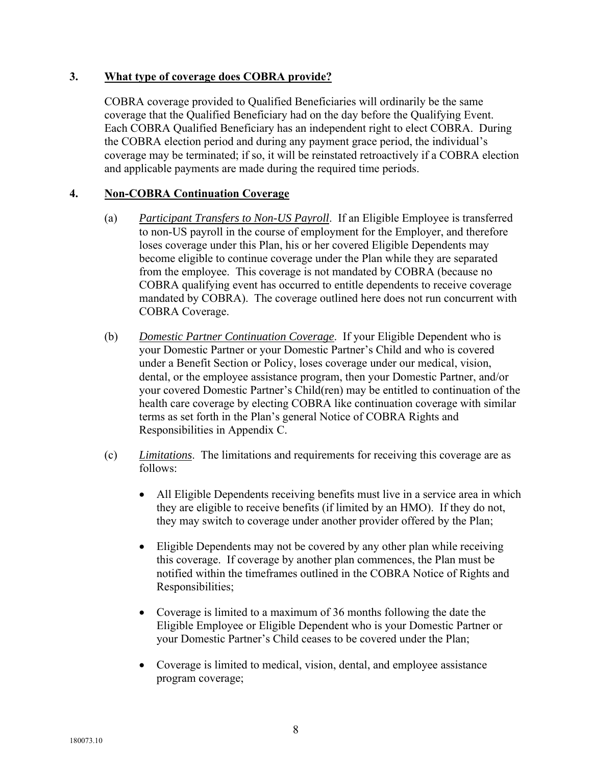#### **3. What type of coverage does COBRA provide?**

COBRA coverage provided to Qualified Beneficiaries will ordinarily be the same coverage that the Qualified Beneficiary had on the day before the Qualifying Event. Each COBRA Qualified Beneficiary has an independent right to elect COBRA. During the COBRA election period and during any payment grace period, the individual's coverage may be terminated; if so, it will be reinstated retroactively if a COBRA election and applicable payments are made during the required time periods.

#### **4. Non-COBRA Continuation Coverage**

- (a) *Participant Transfers to Non-US Payroll*. If an Eligible Employee is transferred to non-US payroll in the course of employment for the Employer, and therefore loses coverage under this Plan, his or her covered Eligible Dependents may become eligible to continue coverage under the Plan while they are separated from the employee. This coverage is not mandated by COBRA (because no COBRA qualifying event has occurred to entitle dependents to receive coverage mandated by COBRA). The coverage outlined here does not run concurrent with COBRA Coverage.
- (b) *Domestic Partner Continuation Coverage*. If your Eligible Dependent who is your Domestic Partner or your Domestic Partner's Child and who is covered under a Benefit Section or Policy, loses coverage under our medical, vision, dental, or the employee assistance program, then your Domestic Partner, and/or your covered Domestic Partner's Child(ren) may be entitled to continuation of the health care coverage by electing COBRA like continuation coverage with similar terms as set forth in the Plan's general Notice of COBRA Rights and Responsibilities in Appendix C.
- (c) *Limitations*. The limitations and requirements for receiving this coverage are as follows:
	- All Eligible Dependents receiving benefits must live in a service area in which they are eligible to receive benefits (if limited by an HMO). If they do not, they may switch to coverage under another provider offered by the Plan;
	- Eligible Dependents may not be covered by any other plan while receiving this coverage. If coverage by another plan commences, the Plan must be notified within the timeframes outlined in the COBRA Notice of Rights and Responsibilities;
	- Coverage is limited to a maximum of 36 months following the date the Eligible Employee or Eligible Dependent who is your Domestic Partner or your Domestic Partner's Child ceases to be covered under the Plan;
	- Coverage is limited to medical, vision, dental, and employee assistance program coverage;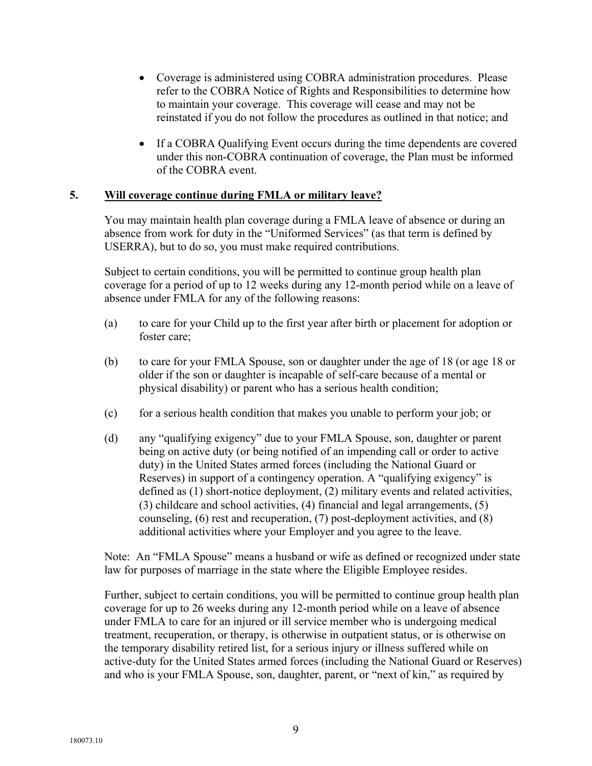- Coverage is administered using COBRA administration procedures. Please refer to the COBRA Notice of Rights and Responsibilities to determine how to maintain your coverage. This coverage will cease and may not be reinstated if you do not follow the procedures as outlined in that notice; and
- If a COBRA Qualifying Event occurs during the time dependents are covered under this non-COBRA continuation of coverage, the Plan must be informed of the COBRA event.

#### **5. Will coverage continue during FMLA or military leave?**

You may maintain health plan coverage during a FMLA leave of absence or during an absence from work for duty in the "Uniformed Services" (as that term is defined by USERRA), but to do so, you must make required contributions.

Subject to certain conditions, you will be permitted to continue group health plan coverage for a period of up to 12 weeks during any 12-month period while on a leave of absence under FMLA for any of the following reasons:

- (a) to care for your Child up to the first year after birth or placement for adoption or foster care;
- (b) to care for your FMLA Spouse, son or daughter under the age of 18 (or age 18 or older if the son or daughter is incapable of self-care because of a mental or physical disability) or parent who has a serious health condition;
- (c) for a serious health condition that makes you unable to perform your job; or
- (d) any "qualifying exigency" due to your FMLA Spouse, son, daughter or parent being on active duty (or being notified of an impending call or order to active duty) in the United States armed forces (including the National Guard or Reserves) in support of a contingency operation. A "qualifying exigency" is defined as (1) short-notice deployment, (2) military events and related activities, (3) childcare and school activities, (4) financial and legal arrangements, (5) counseling, (6) rest and recuperation, (7) post-deployment activities, and (8) additional activities where your Employer and you agree to the leave.

Note: An "FMLA Spouse" means a husband or wife as defined or recognized under state law for purposes of marriage in the state where the Eligible Employee resides.

Further, subject to certain conditions, you will be permitted to continue group health plan coverage for up to 26 weeks during any 12-month period while on a leave of absence under FMLA to care for an injured or ill service member who is undergoing medical treatment, recuperation, or therapy, is otherwise in outpatient status, or is otherwise on the temporary disability retired list, for a serious injury or illness suffered while on active-duty for the United States armed forces (including the National Guard or Reserves) and who is your FMLA Spouse, son, daughter, parent, or "next of kin," as required by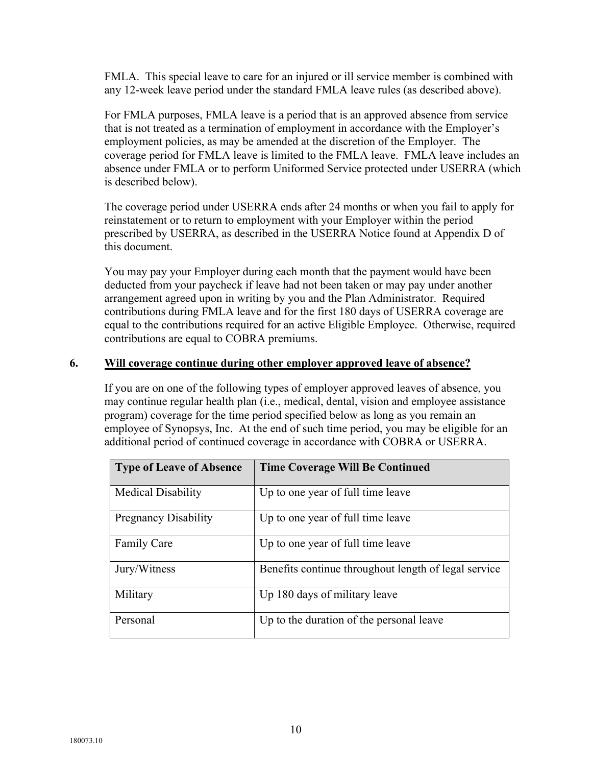FMLA. This special leave to care for an injured or ill service member is combined with any 12-week leave period under the standard FMLA leave rules (as described above).

For FMLA purposes, FMLA leave is a period that is an approved absence from service that is not treated as a termination of employment in accordance with the Employer's employment policies, as may be amended at the discretion of the Employer. The coverage period for FMLA leave is limited to the FMLA leave. FMLA leave includes an absence under FMLA or to perform Uniformed Service protected under USERRA (which is described below).

The coverage period under USERRA ends after 24 months or when you fail to apply for reinstatement or to return to employment with your Employer within the period prescribed by USERRA, as described in the USERRA Notice found at Appendix D of this document.

You may pay your Employer during each month that the payment would have been deducted from your paycheck if leave had not been taken or may pay under another arrangement agreed upon in writing by you and the Plan Administrator. Required contributions during FMLA leave and for the first 180 days of USERRA coverage are equal to the contributions required for an active Eligible Employee. Otherwise, required contributions are equal to COBRA premiums.

#### **6. Will coverage continue during other employer approved leave of absence?**

If you are on one of the following types of employer approved leaves of absence, you may continue regular health plan (i.e., medical, dental, vision and employee assistance program) coverage for the time period specified below as long as you remain an employee of Synopsys, Inc. At the end of such time period, you may be eligible for an additional period of continued coverage in accordance with COBRA or USERRA.

| <b>Type of Leave of Absence</b> | <b>Time Coverage Will Be Continued</b>               |
|---------------------------------|------------------------------------------------------|
| <b>Medical Disability</b>       | Up to one year of full time leave                    |
| <b>Pregnancy Disability</b>     | Up to one year of full time leave                    |
| <b>Family Care</b>              | Up to one year of full time leave                    |
| Jury/Witness                    | Benefits continue throughout length of legal service |
| Military                        | Up 180 days of military leave                        |
| Personal                        | Up to the duration of the personal leave             |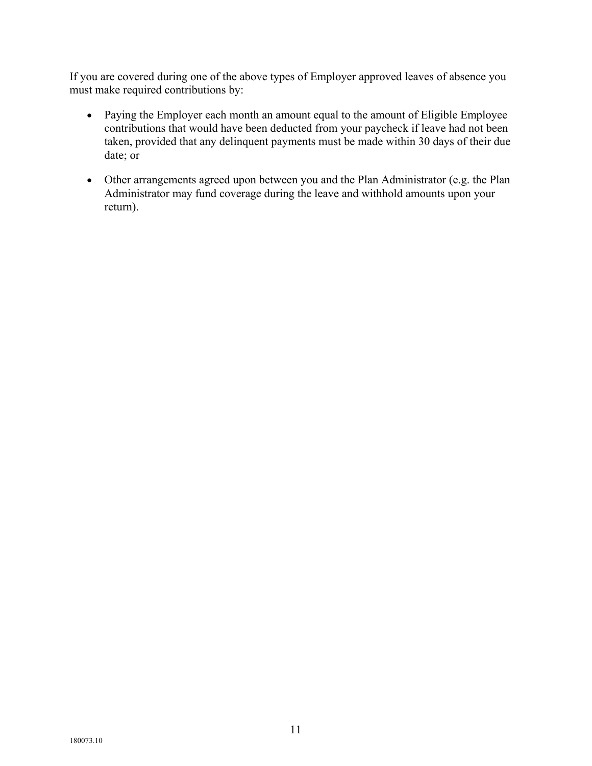If you are covered during one of the above types of Employer approved leaves of absence you must make required contributions by:

- Paying the Employer each month an amount equal to the amount of Eligible Employee contributions that would have been deducted from your paycheck if leave had not been taken, provided that any delinquent payments must be made within 30 days of their due date; or
- Other arrangements agreed upon between you and the Plan Administrator (e.g. the Plan Administrator may fund coverage during the leave and withhold amounts upon your return).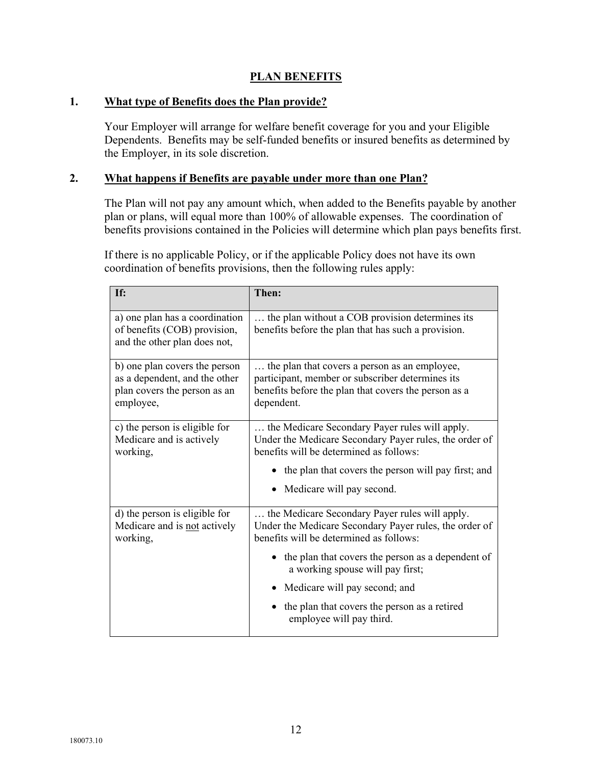# **PLAN BENEFITS**

#### **1. What type of Benefits does the Plan provide?**

Your Employer will arrange for welfare benefit coverage for you and your Eligible Dependents. Benefits may be self-funded benefits or insured benefits as determined by the Employer, in its sole discretion.

#### **2. What happens if Benefits are payable under more than one Plan?**

The Plan will not pay any amount which, when added to the Benefits payable by another plan or plans, will equal more than 100% of allowable expenses. The coordination of benefits provisions contained in the Policies will determine which plan pays benefits first.

If there is no applicable Policy, or if the applicable Policy does not have its own coordination of benefits provisions, then the following rules apply:

| If:                                                                                                         | Then:                                                                                                                                                                                                                                          |
|-------------------------------------------------------------------------------------------------------------|------------------------------------------------------------------------------------------------------------------------------------------------------------------------------------------------------------------------------------------------|
| a) one plan has a coordination<br>of benefits (COB) provision,<br>and the other plan does not,              | the plan without a COB provision determines its<br>benefits before the plan that has such a provision.                                                                                                                                         |
| b) one plan covers the person<br>as a dependent, and the other<br>plan covers the person as an<br>employee, | the plan that covers a person as an employee,<br>participant, member or subscriber determines its<br>benefits before the plan that covers the person as a<br>dependent.                                                                        |
| c) the person is eligible for<br>Medicare and is actively<br>working,                                       | the Medicare Secondary Payer rules will apply.<br>Under the Medicare Secondary Payer rules, the order of<br>benefits will be determined as follows:<br>• the plan that covers the person will pay first; and<br>Medicare will pay second.      |
| d) the person is eligible for<br>Medicare and is not actively<br>working,                                   | the Medicare Secondary Payer rules will apply.<br>Under the Medicare Secondary Payer rules, the order of<br>benefits will be determined as follows:<br>• the plan that covers the person as a dependent of<br>a working spouse will pay first; |
|                                                                                                             | • Medicare will pay second; and<br>the plan that covers the person as a retired<br>employee will pay third.                                                                                                                                    |
|                                                                                                             |                                                                                                                                                                                                                                                |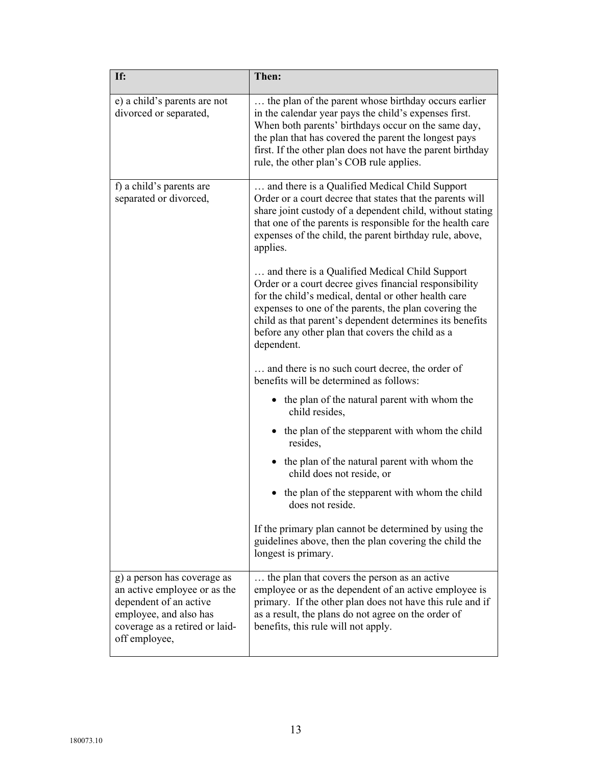| If:                                                                                                                                                                | Then:                                                                                                                                                                                                                                                                                                                                                                                                                     |
|--------------------------------------------------------------------------------------------------------------------------------------------------------------------|---------------------------------------------------------------------------------------------------------------------------------------------------------------------------------------------------------------------------------------------------------------------------------------------------------------------------------------------------------------------------------------------------------------------------|
| e) a child's parents are not<br>divorced or separated,                                                                                                             | the plan of the parent whose birthday occurs earlier<br>in the calendar year pays the child's expenses first.<br>When both parents' birthdays occur on the same day,<br>the plan that has covered the parent the longest pays<br>first. If the other plan does not have the parent birthday<br>rule, the other plan's COB rule applies.                                                                                   |
| f) a child's parents are<br>separated or divorced,                                                                                                                 | and there is a Qualified Medical Child Support<br>Order or a court decree that states that the parents will<br>share joint custody of a dependent child, without stating<br>that one of the parents is responsible for the health care<br>expenses of the child, the parent birthday rule, above,<br>applies.<br>and there is a Qualified Medical Child Support<br>Order or a court decree gives financial responsibility |
|                                                                                                                                                                    | for the child's medical, dental or other health care<br>expenses to one of the parents, the plan covering the<br>child as that parent's dependent determines its benefits<br>before any other plan that covers the child as a<br>dependent.                                                                                                                                                                               |
|                                                                                                                                                                    | and there is no such court decree, the order of<br>benefits will be determined as follows:                                                                                                                                                                                                                                                                                                                                |
|                                                                                                                                                                    | • the plan of the natural parent with whom the<br>child resides,                                                                                                                                                                                                                                                                                                                                                          |
|                                                                                                                                                                    | • the plan of the stepparent with whom the child<br>resides,                                                                                                                                                                                                                                                                                                                                                              |
|                                                                                                                                                                    | • the plan of the natural parent with whom the<br>child does not reside, or                                                                                                                                                                                                                                                                                                                                               |
|                                                                                                                                                                    | the plan of the stepparent with whom the child<br>does not reside.                                                                                                                                                                                                                                                                                                                                                        |
|                                                                                                                                                                    | If the primary plan cannot be determined by using the<br>guidelines above, then the plan covering the child the<br>longest is primary.                                                                                                                                                                                                                                                                                    |
| g) a person has coverage as<br>an active employee or as the<br>dependent of an active<br>employee, and also has<br>coverage as a retired or laid-<br>off employee, | the plan that covers the person as an active<br>employee or as the dependent of an active employee is<br>primary. If the other plan does not have this rule and if<br>as a result, the plans do not agree on the order of<br>benefits, this rule will not apply.                                                                                                                                                          |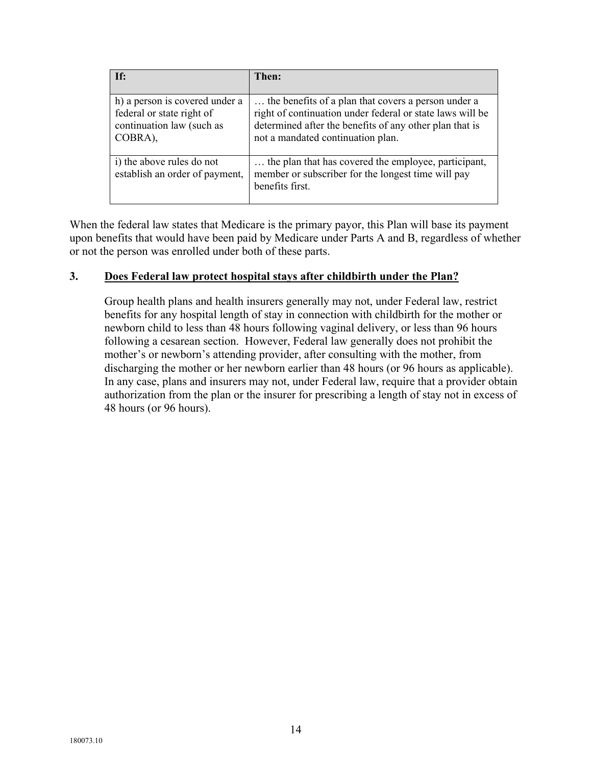| If:                                                                                                 | Then:                                                                                                                                                                                                            |
|-----------------------------------------------------------------------------------------------------|------------------------------------------------------------------------------------------------------------------------------------------------------------------------------------------------------------------|
| h) a person is covered under a<br>federal or state right of<br>continuation law (such as<br>COBRA), | the benefits of a plan that covers a person under a<br>right of continuation under federal or state laws will be<br>determined after the benefits of any other plan that is<br>not a mandated continuation plan. |
| i) the above rules do not<br>establish an order of payment,                                         | the plan that has covered the employee, participant,<br>member or subscriber for the longest time will pay<br>benefits first.                                                                                    |

When the federal law states that Medicare is the primary payor, this Plan will base its payment upon benefits that would have been paid by Medicare under Parts A and B, regardless of whether or not the person was enrolled under both of these parts.

#### **3. Does Federal law protect hospital stays after childbirth under the Plan?**

Group health plans and health insurers generally may not, under Federal law, restrict benefits for any hospital length of stay in connection with childbirth for the mother or newborn child to less than 48 hours following vaginal delivery, or less than 96 hours following a cesarean section. However, Federal law generally does not prohibit the mother's or newborn's attending provider, after consulting with the mother, from discharging the mother or her newborn earlier than 48 hours (or 96 hours as applicable). In any case, plans and insurers may not, under Federal law, require that a provider obtain authorization from the plan or the insurer for prescribing a length of stay not in excess of 48 hours (or 96 hours).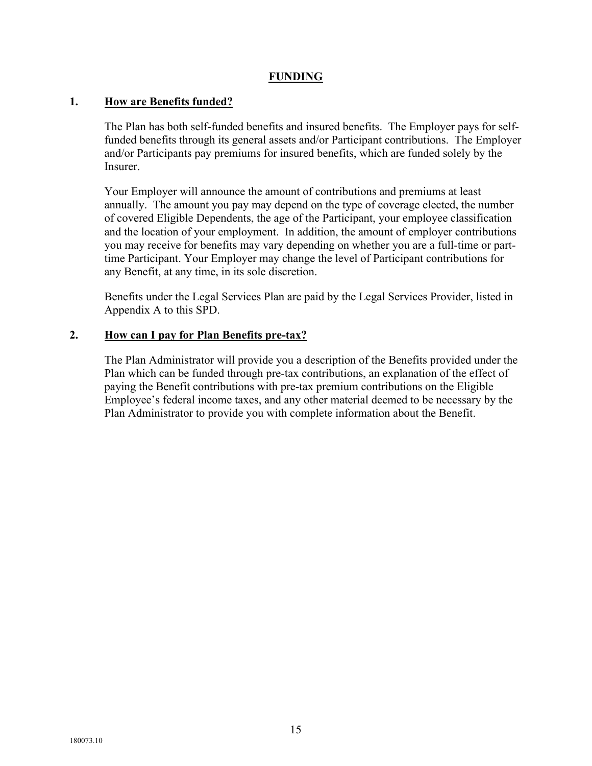#### **FUNDING**

#### **1. How are Benefits funded?**

The Plan has both self-funded benefits and insured benefits. The Employer pays for selffunded benefits through its general assets and/or Participant contributions. The Employer and/or Participants pay premiums for insured benefits, which are funded solely by the Insurer.

Your Employer will announce the amount of contributions and premiums at least annually. The amount you pay may depend on the type of coverage elected, the number of covered Eligible Dependents, the age of the Participant, your employee classification and the location of your employment. In addition, the amount of employer contributions you may receive for benefits may vary depending on whether you are a full-time or parttime Participant. Your Employer may change the level of Participant contributions for any Benefit, at any time, in its sole discretion.

Benefits under the Legal Services Plan are paid by the Legal Services Provider, listed in Appendix A to this SPD.

#### **2. How can I pay for Plan Benefits pre-tax?**

The Plan Administrator will provide you a description of the Benefits provided under the Plan which can be funded through pre-tax contributions, an explanation of the effect of paying the Benefit contributions with pre-tax premium contributions on the Eligible Employee's federal income taxes, and any other material deemed to be necessary by the Plan Administrator to provide you with complete information about the Benefit.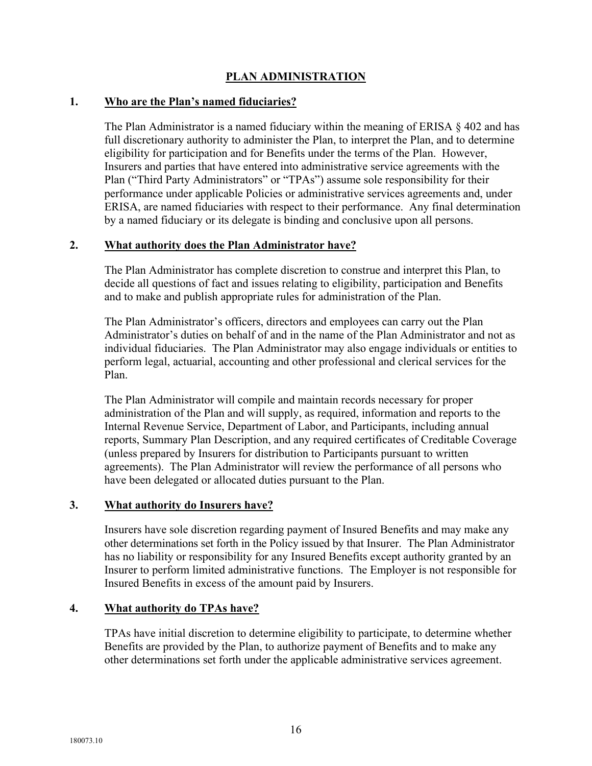# **PLAN ADMINISTRATION**

#### **1. Who are the Plan's named fiduciaries?**

The Plan Administrator is a named fiduciary within the meaning of ERISA § 402 and has full discretionary authority to administer the Plan, to interpret the Plan, and to determine eligibility for participation and for Benefits under the terms of the Plan. However, Insurers and parties that have entered into administrative service agreements with the Plan ("Third Party Administrators" or "TPAs") assume sole responsibility for their performance under applicable Policies or administrative services agreements and, under ERISA, are named fiduciaries with respect to their performance. Any final determination by a named fiduciary or its delegate is binding and conclusive upon all persons.

#### **2. What authority does the Plan Administrator have?**

The Plan Administrator has complete discretion to construe and interpret this Plan, to decide all questions of fact and issues relating to eligibility, participation and Benefits and to make and publish appropriate rules for administration of the Plan.

The Plan Administrator's officers, directors and employees can carry out the Plan Administrator's duties on behalf of and in the name of the Plan Administrator and not as individual fiduciaries. The Plan Administrator may also engage individuals or entities to perform legal, actuarial, accounting and other professional and clerical services for the Plan.

The Plan Administrator will compile and maintain records necessary for proper administration of the Plan and will supply, as required, information and reports to the Internal Revenue Service, Department of Labor, and Participants, including annual reports, Summary Plan Description, and any required certificates of Creditable Coverage (unless prepared by Insurers for distribution to Participants pursuant to written agreements). The Plan Administrator will review the performance of all persons who have been delegated or allocated duties pursuant to the Plan.

# **3. What authority do Insurers have?**

Insurers have sole discretion regarding payment of Insured Benefits and may make any other determinations set forth in the Policy issued by that Insurer. The Plan Administrator has no liability or responsibility for any Insured Benefits except authority granted by an Insurer to perform limited administrative functions. The Employer is not responsible for Insured Benefits in excess of the amount paid by Insurers.

# **4. What authority do TPAs have?**

TPAs have initial discretion to determine eligibility to participate, to determine whether Benefits are provided by the Plan, to authorize payment of Benefits and to make any other determinations set forth under the applicable administrative services agreement.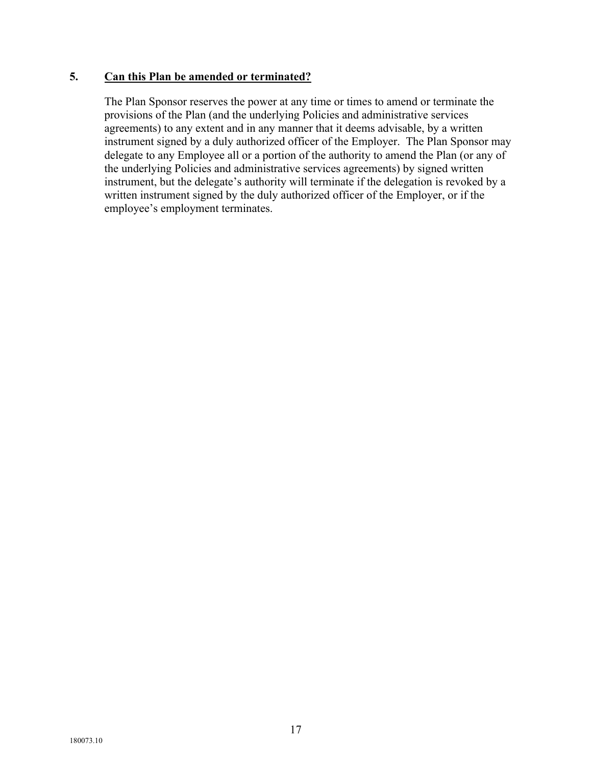#### **5. Can this Plan be amended or terminated?**

The Plan Sponsor reserves the power at any time or times to amend or terminate the provisions of the Plan (and the underlying Policies and administrative services agreements) to any extent and in any manner that it deems advisable, by a written instrument signed by a duly authorized officer of the Employer. The Plan Sponsor may delegate to any Employee all or a portion of the authority to amend the Plan (or any of the underlying Policies and administrative services agreements) by signed written instrument, but the delegate's authority will terminate if the delegation is revoked by a written instrument signed by the duly authorized officer of the Employer, or if the employee's employment terminates.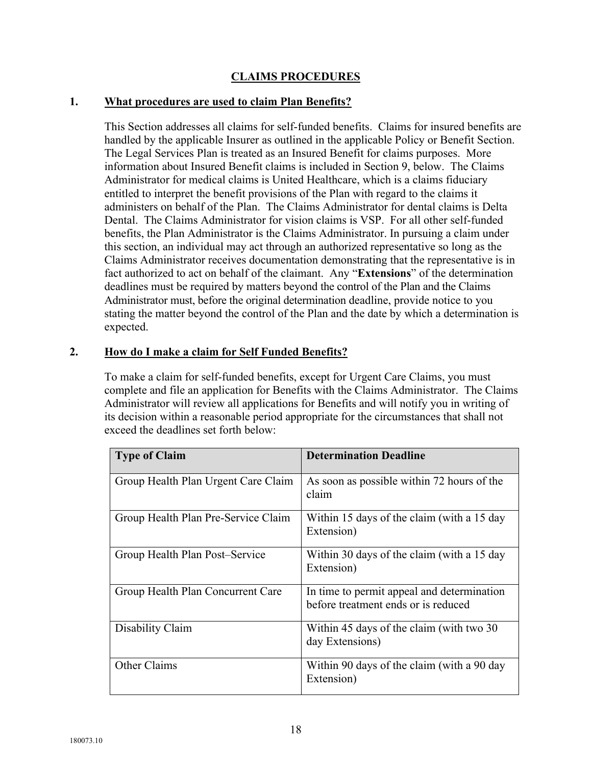# **CLAIMS PROCEDURES**

#### **1. What procedures are used to claim Plan Benefits?**

This Section addresses all claims for self-funded benefits. Claims for insured benefits are handled by the applicable Insurer as outlined in the applicable Policy or Benefit Section. The Legal Services Plan is treated as an Insured Benefit for claims purposes. More information about Insured Benefit claims is included in Section 9, below. The Claims Administrator for medical claims is United Healthcare, which is a claims fiduciary entitled to interpret the benefit provisions of the Plan with regard to the claims it administers on behalf of the Plan. The Claims Administrator for dental claims is Delta Dental. The Claims Administrator for vision claims is VSP. For all other self-funded benefits, the Plan Administrator is the Claims Administrator. In pursuing a claim under this section, an individual may act through an authorized representative so long as the Claims Administrator receives documentation demonstrating that the representative is in fact authorized to act on behalf of the claimant. Any "**Extensions**" of the determination deadlines must be required by matters beyond the control of the Plan and the Claims Administrator must, before the original determination deadline, provide notice to you stating the matter beyond the control of the Plan and the date by which a determination is expected.

#### **2. How do I make a claim for Self Funded Benefits?**

To make a claim for self-funded benefits, except for Urgent Care Claims, you must complete and file an application for Benefits with the Claims Administrator. The Claims Administrator will review all applications for Benefits and will notify you in writing of its decision within a reasonable period appropriate for the circumstances that shall not exceed the deadlines set forth below:

| <b>Type of Claim</b>                | <b>Determination Deadline</b>                                                     |
|-------------------------------------|-----------------------------------------------------------------------------------|
| Group Health Plan Urgent Care Claim | As soon as possible within 72 hours of the<br>claim                               |
| Group Health Plan Pre-Service Claim | Within 15 days of the claim (with a 15 day<br>Extension)                          |
| Group Health Plan Post-Service      | Within 30 days of the claim (with a 15 day<br>Extension)                          |
| Group Health Plan Concurrent Care   | In time to permit appeal and determination<br>before treatment ends or is reduced |
| Disability Claim                    | Within 45 days of the claim (with two 30)<br>day Extensions)                      |
| Other Claims                        | Within 90 days of the claim (with a 90 day<br>Extension)                          |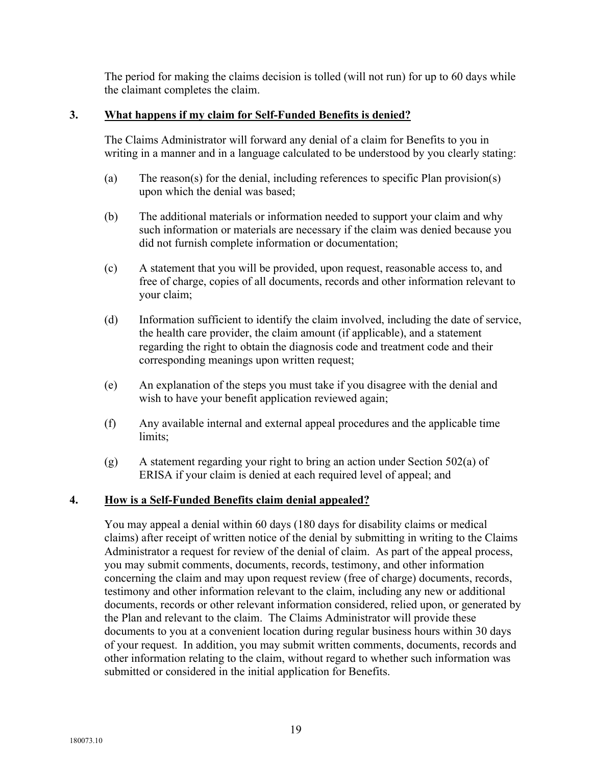The period for making the claims decision is tolled (will not run) for up to 60 days while the claimant completes the claim.

# **3. What happens if my claim for Self-Funded Benefits is denied?**

The Claims Administrator will forward any denial of a claim for Benefits to you in writing in a manner and in a language calculated to be understood by you clearly stating:

- (a) The reason(s) for the denial, including references to specific Plan provision(s) upon which the denial was based;
- (b) The additional materials or information needed to support your claim and why such information or materials are necessary if the claim was denied because you did not furnish complete information or documentation;
- (c) A statement that you will be provided, upon request, reasonable access to, and free of charge, copies of all documents, records and other information relevant to your claim;
- (d) Information sufficient to identify the claim involved, including the date of service, the health care provider, the claim amount (if applicable), and a statement regarding the right to obtain the diagnosis code and treatment code and their corresponding meanings upon written request;
- (e) An explanation of the steps you must take if you disagree with the denial and wish to have your benefit application reviewed again;
- (f) Any available internal and external appeal procedures and the applicable time limits;
- (g) A statement regarding your right to bring an action under Section 502(a) of ERISA if your claim is denied at each required level of appeal; and

# **4. How is a Self-Funded Benefits claim denial appealed?**

You may appeal a denial within 60 days (180 days for disability claims or medical claims) after receipt of written notice of the denial by submitting in writing to the Claims Administrator a request for review of the denial of claim. As part of the appeal process, you may submit comments, documents, records, testimony, and other information concerning the claim and may upon request review (free of charge) documents, records, testimony and other information relevant to the claim, including any new or additional documents, records or other relevant information considered, relied upon, or generated by the Plan and relevant to the claim. The Claims Administrator will provide these documents to you at a convenient location during regular business hours within 30 days of your request. In addition, you may submit written comments, documents, records and other information relating to the claim, without regard to whether such information was submitted or considered in the initial application for Benefits.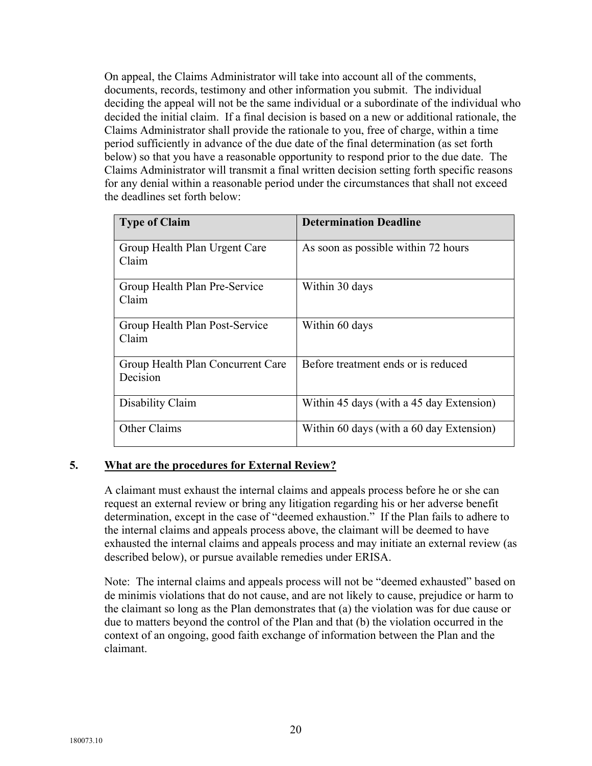On appeal, the Claims Administrator will take into account all of the comments, documents, records, testimony and other information you submit. The individual deciding the appeal will not be the same individual or a subordinate of the individual who decided the initial claim. If a final decision is based on a new or additional rationale, the Claims Administrator shall provide the rationale to you, free of charge, within a time period sufficiently in advance of the due date of the final determination (as set forth below) so that you have a reasonable opportunity to respond prior to the due date. The Claims Administrator will transmit a final written decision setting forth specific reasons for any denial within a reasonable period under the circumstances that shall not exceed the deadlines set forth below:

| <b>Type of Claim</b>                   | <b>Determination Deadline</b>            |
|----------------------------------------|------------------------------------------|
| Group Health Plan Urgent Care<br>Claim | As soon as possible within 72 hours      |
|                                        |                                          |
| Group Health Plan Pre-Service          | Within 30 days                           |
| Claim                                  |                                          |
| Group Health Plan Post-Service         | Within 60 days                           |
| Claim                                  |                                          |
| Group Health Plan Concurrent Care      | Before treatment ends or is reduced      |
| Decision                               |                                          |
| Disability Claim                       | Within 45 days (with a 45 day Extension) |
| Other Claims                           | Within 60 days (with a 60 day Extension) |

# **5. What are the procedures for External Review?**

A claimant must exhaust the internal claims and appeals process before he or she can request an external review or bring any litigation regarding his or her adverse benefit determination, except in the case of "deemed exhaustion." If the Plan fails to adhere to the internal claims and appeals process above, the claimant will be deemed to have exhausted the internal claims and appeals process and may initiate an external review (as described below), or pursue available remedies under ERISA.

Note: The internal claims and appeals process will not be "deemed exhausted" based on de minimis violations that do not cause, and are not likely to cause, prejudice or harm to the claimant so long as the Plan demonstrates that (a) the violation was for due cause or due to matters beyond the control of the Plan and that (b) the violation occurred in the context of an ongoing, good faith exchange of information between the Plan and the claimant.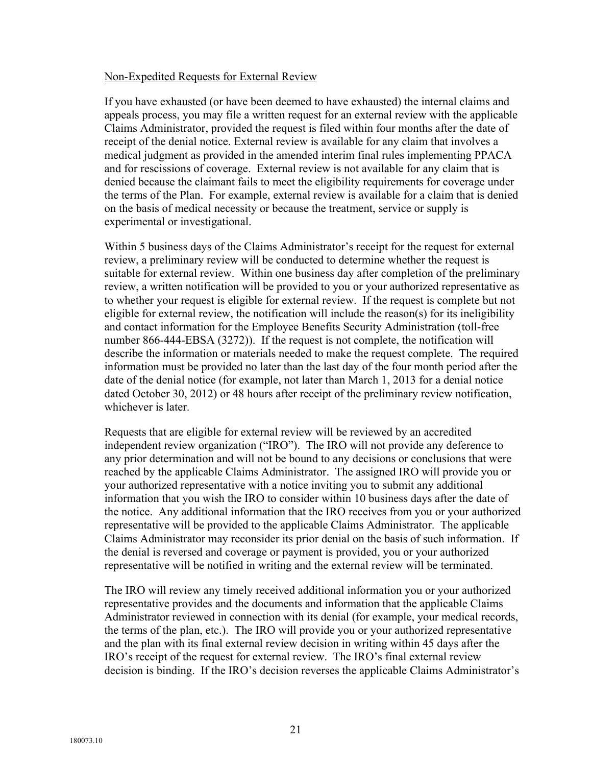#### Non-Expedited Requests for External Review

If you have exhausted (or have been deemed to have exhausted) the internal claims and appeals process, you may file a written request for an external review with the applicable Claims Administrator, provided the request is filed within four months after the date of receipt of the denial notice. External review is available for any claim that involves a medical judgment as provided in the amended interim final rules implementing PPACA and for rescissions of coverage. External review is not available for any claim that is denied because the claimant fails to meet the eligibility requirements for coverage under the terms of the Plan. For example, external review is available for a claim that is denied on the basis of medical necessity or because the treatment, service or supply is experimental or investigational.

Within 5 business days of the Claims Administrator's receipt for the request for external review, a preliminary review will be conducted to determine whether the request is suitable for external review. Within one business day after completion of the preliminary review, a written notification will be provided to you or your authorized representative as to whether your request is eligible for external review. If the request is complete but not eligible for external review, the notification will include the reason(s) for its ineligibility and contact information for the Employee Benefits Security Administration (toll-free number 866-444-EBSA (3272)). If the request is not complete, the notification will describe the information or materials needed to make the request complete. The required information must be provided no later than the last day of the four month period after the date of the denial notice (for example, not later than March 1, 2013 for a denial notice dated October 30, 2012) or 48 hours after receipt of the preliminary review notification, whichever is later.

Requests that are eligible for external review will be reviewed by an accredited independent review organization ("IRO"). The IRO will not provide any deference to any prior determination and will not be bound to any decisions or conclusions that were reached by the applicable Claims Administrator. The assigned IRO will provide you or your authorized representative with a notice inviting you to submit any additional information that you wish the IRO to consider within 10 business days after the date of the notice. Any additional information that the IRO receives from you or your authorized representative will be provided to the applicable Claims Administrator. The applicable Claims Administrator may reconsider its prior denial on the basis of such information. If the denial is reversed and coverage or payment is provided, you or your authorized representative will be notified in writing and the external review will be terminated.

The IRO will review any timely received additional information you or your authorized representative provides and the documents and information that the applicable Claims Administrator reviewed in connection with its denial (for example, your medical records, the terms of the plan, etc.). The IRO will provide you or your authorized representative and the plan with its final external review decision in writing within 45 days after the IRO's receipt of the request for external review. The IRO's final external review decision is binding. If the IRO's decision reverses the applicable Claims Administrator's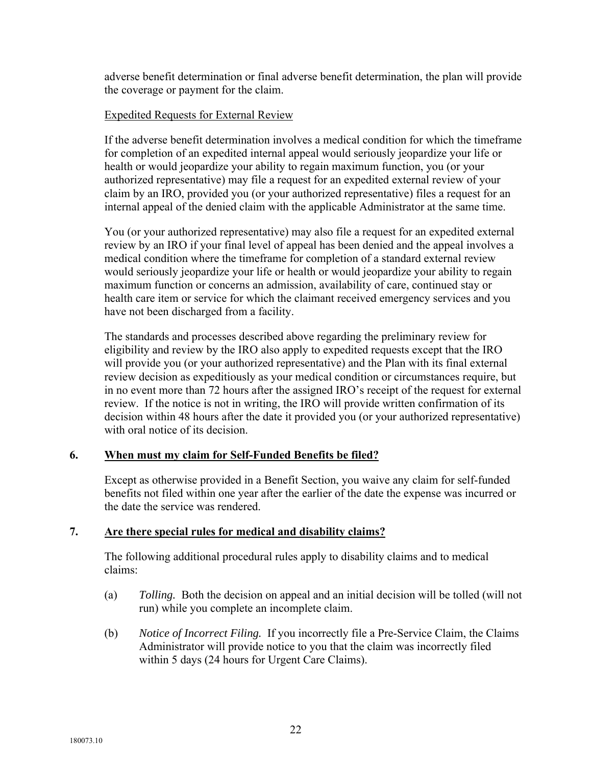adverse benefit determination or final adverse benefit determination, the plan will provide the coverage or payment for the claim.

#### Expedited Requests for External Review

If the adverse benefit determination involves a medical condition for which the timeframe for completion of an expedited internal appeal would seriously jeopardize your life or health or would jeopardize your ability to regain maximum function, you (or your authorized representative) may file a request for an expedited external review of your claim by an IRO, provided you (or your authorized representative) files a request for an internal appeal of the denied claim with the applicable Administrator at the same time.

You (or your authorized representative) may also file a request for an expedited external review by an IRO if your final level of appeal has been denied and the appeal involves a medical condition where the timeframe for completion of a standard external review would seriously jeopardize your life or health or would jeopardize your ability to regain maximum function or concerns an admission, availability of care, continued stay or health care item or service for which the claimant received emergency services and you have not been discharged from a facility.

The standards and processes described above regarding the preliminary review for eligibility and review by the IRO also apply to expedited requests except that the IRO will provide you (or your authorized representative) and the Plan with its final external review decision as expeditiously as your medical condition or circumstances require, but in no event more than 72 hours after the assigned IRO's receipt of the request for external review. If the notice is not in writing, the IRO will provide written confirmation of its decision within 48 hours after the date it provided you (or your authorized representative) with oral notice of its decision.

# **6. When must my claim for Self-Funded Benefits be filed?**

Except as otherwise provided in a Benefit Section, you waive any claim for self-funded benefits not filed within one year after the earlier of the date the expense was incurred or the date the service was rendered.

# **7. Are there special rules for medical and disability claims?**

The following additional procedural rules apply to disability claims and to medical claims:

- (a) *Tolling.* Both the decision on appeal and an initial decision will be tolled (will not run) while you complete an incomplete claim.
- (b) *Notice of Incorrect Filing.* If you incorrectly file a Pre-Service Claim, the Claims Administrator will provide notice to you that the claim was incorrectly filed within 5 days (24 hours for Urgent Care Claims).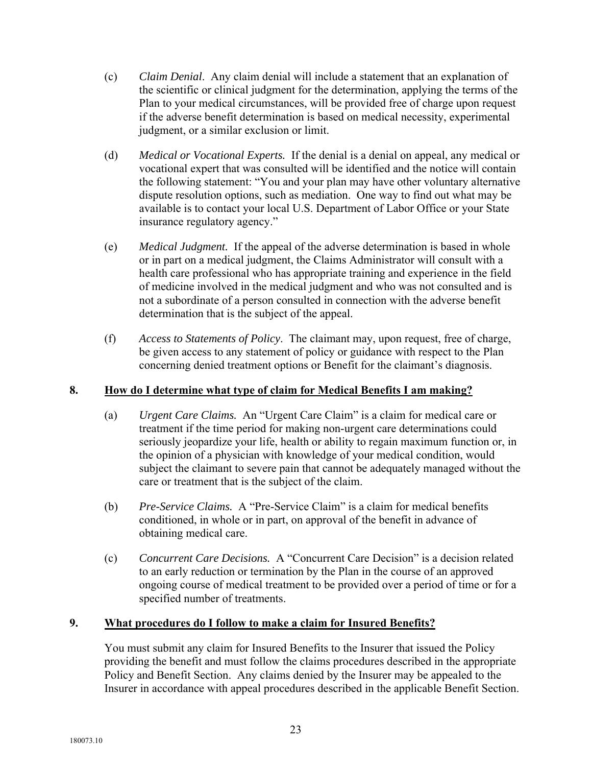- (c) *Claim Denial*. Any claim denial will include a statement that an explanation of the scientific or clinical judgment for the determination, applying the terms of the Plan to your medical circumstances, will be provided free of charge upon request if the adverse benefit determination is based on medical necessity, experimental judgment, or a similar exclusion or limit.
- (d) *Medical or Vocational Experts.* If the denial is a denial on appeal, any medical or vocational expert that was consulted will be identified and the notice will contain the following statement: "You and your plan may have other voluntary alternative dispute resolution options, such as mediation. One way to find out what may be available is to contact your local U.S. Department of Labor Office or your State insurance regulatory agency."
- (e) *Medical Judgment.* If the appeal of the adverse determination is based in whole or in part on a medical judgment, the Claims Administrator will consult with a health care professional who has appropriate training and experience in the field of medicine involved in the medical judgment and who was not consulted and is not a subordinate of a person consulted in connection with the adverse benefit determination that is the subject of the appeal.
- (f) *Access to Statements of Policy*. The claimant may, upon request, free of charge, be given access to any statement of policy or guidance with respect to the Plan concerning denied treatment options or Benefit for the claimant's diagnosis.

# **8. How do I determine what type of claim for Medical Benefits I am making?**

- (a) *Urgent Care Claims.* An "Urgent Care Claim" is a claim for medical care or treatment if the time period for making non-urgent care determinations could seriously jeopardize your life, health or ability to regain maximum function or, in the opinion of a physician with knowledge of your medical condition, would subject the claimant to severe pain that cannot be adequately managed without the care or treatment that is the subject of the claim.
- (b) *Pre-Service Claims.* A "Pre-Service Claim" is a claim for medical benefits conditioned, in whole or in part, on approval of the benefit in advance of obtaining medical care.
- (c) *Concurrent Care Decisions.* A "Concurrent Care Decision" is a decision related to an early reduction or termination by the Plan in the course of an approved ongoing course of medical treatment to be provided over a period of time or for a specified number of treatments.

# **9. What procedures do I follow to make a claim for Insured Benefits?**

You must submit any claim for Insured Benefits to the Insurer that issued the Policy providing the benefit and must follow the claims procedures described in the appropriate Policy and Benefit Section. Any claims denied by the Insurer may be appealed to the Insurer in accordance with appeal procedures described in the applicable Benefit Section.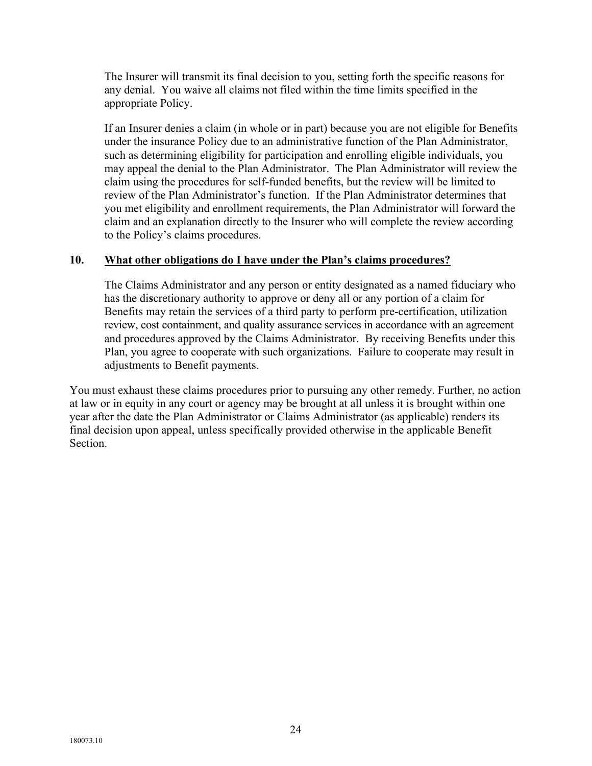The Insurer will transmit its final decision to you, setting forth the specific reasons for any denial. You waive all claims not filed within the time limits specified in the appropriate Policy.

If an Insurer denies a claim (in whole or in part) because you are not eligible for Benefits under the insurance Policy due to an administrative function of the Plan Administrator, such as determining eligibility for participation and enrolling eligible individuals, you may appeal the denial to the Plan Administrator. The Plan Administrator will review the claim using the procedures for self-funded benefits, but the review will be limited to review of the Plan Administrator's function. If the Plan Administrator determines that you met eligibility and enrollment requirements, the Plan Administrator will forward the claim and an explanation directly to the Insurer who will complete the review according to the Policy's claims procedures.

#### **10. What other obligations do I have under the Plan's claims procedures?**

The Claims Administrator and any person or entity designated as a named fiduciary who has the di**s**cretionary authority to approve or deny all or any portion of a claim for Benefits may retain the services of a third party to perform pre-certification, utilization review, cost containment, and quality assurance services in accordance with an agreement and procedures approved by the Claims Administrator. By receiving Benefits under this Plan, you agree to cooperate with such organizations. Failure to cooperate may result in adjustments to Benefit payments.

You must exhaust these claims procedures prior to pursuing any other remedy. Further, no action at law or in equity in any court or agency may be brought at all unless it is brought within one year after the date the Plan Administrator or Claims Administrator (as applicable) renders its final decision upon appeal, unless specifically provided otherwise in the applicable Benefit Section.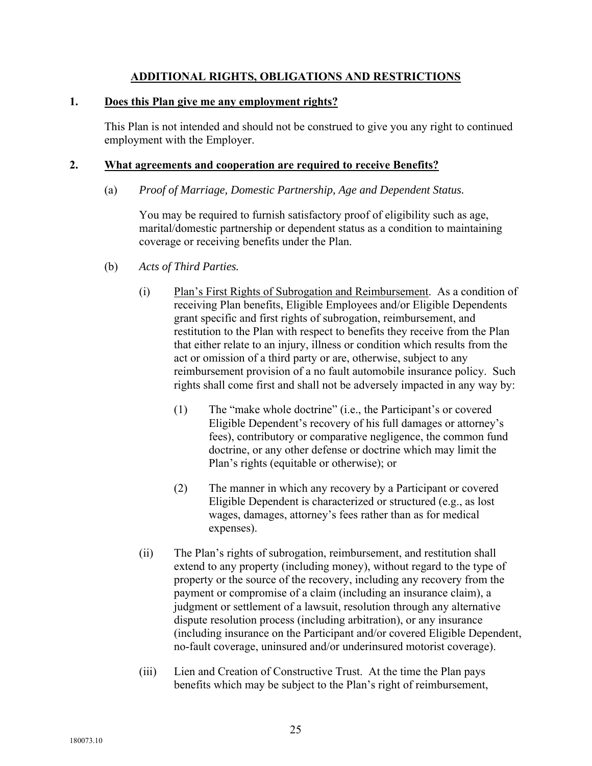# **ADDITIONAL RIGHTS, OBLIGATIONS AND RESTRICTIONS**

#### **1. Does this Plan give me any employment rights?**

This Plan is not intended and should not be construed to give you any right to continued employment with the Employer.

#### **2. What agreements and cooperation are required to receive Benefits?**

(a) *Proof of Marriage, Domestic Partnership, Age and Dependent Status.* 

You may be required to furnish satisfactory proof of eligibility such as age, marital/domestic partnership or dependent status as a condition to maintaining coverage or receiving benefits under the Plan.

- (b) *Acts of Third Parties.* 
	- (i) Plan's First Rights of Subrogation and Reimbursement. As a condition of receiving Plan benefits, Eligible Employees and/or Eligible Dependents grant specific and first rights of subrogation, reimbursement, and restitution to the Plan with respect to benefits they receive from the Plan that either relate to an injury, illness or condition which results from the act or omission of a third party or are, otherwise, subject to any reimbursement provision of a no fault automobile insurance policy. Such rights shall come first and shall not be adversely impacted in any way by:
		- (1) The "make whole doctrine" (i.e., the Participant's or covered Eligible Dependent's recovery of his full damages or attorney's fees), contributory or comparative negligence, the common fund doctrine, or any other defense or doctrine which may limit the Plan's rights (equitable or otherwise); or
		- (2) The manner in which any recovery by a Participant or covered Eligible Dependent is characterized or structured (e.g., as lost wages, damages, attorney's fees rather than as for medical expenses).
	- (ii) The Plan's rights of subrogation, reimbursement, and restitution shall extend to any property (including money), without regard to the type of property or the source of the recovery, including any recovery from the payment or compromise of a claim (including an insurance claim), a judgment or settlement of a lawsuit, resolution through any alternative dispute resolution process (including arbitration), or any insurance (including insurance on the Participant and/or covered Eligible Dependent, no-fault coverage, uninsured and/or underinsured motorist coverage).
	- (iii) Lien and Creation of Constructive Trust. At the time the Plan pays benefits which may be subject to the Plan's right of reimbursement,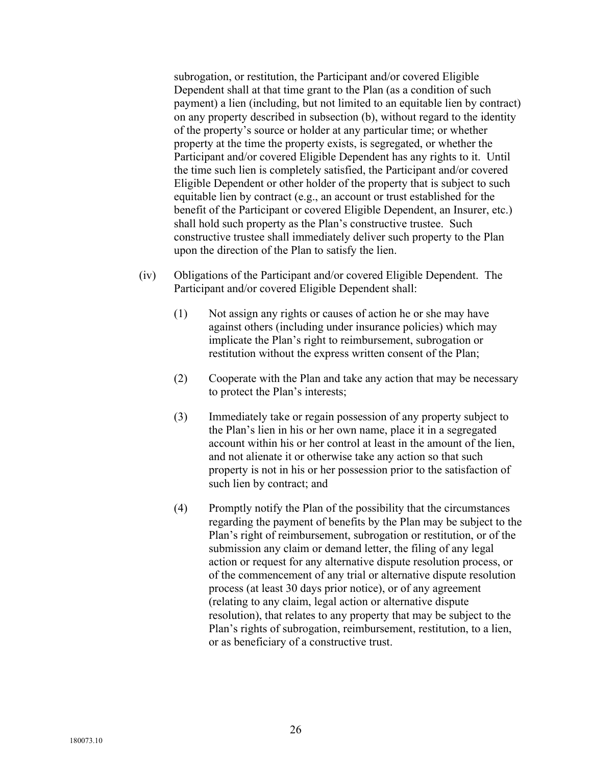subrogation, or restitution, the Participant and/or covered Eligible Dependent shall at that time grant to the Plan (as a condition of such payment) a lien (including, but not limited to an equitable lien by contract) on any property described in subsection (b), without regard to the identity of the property's source or holder at any particular time; or whether property at the time the property exists, is segregated, or whether the Participant and/or covered Eligible Dependent has any rights to it. Until the time such lien is completely satisfied, the Participant and/or covered Eligible Dependent or other holder of the property that is subject to such equitable lien by contract (e.g., an account or trust established for the benefit of the Participant or covered Eligible Dependent, an Insurer, etc.) shall hold such property as the Plan's constructive trustee. Such constructive trustee shall immediately deliver such property to the Plan upon the direction of the Plan to satisfy the lien.

- (iv) Obligations of the Participant and/or covered Eligible Dependent. The Participant and/or covered Eligible Dependent shall:
	- (1) Not assign any rights or causes of action he or she may have against others (including under insurance policies) which may implicate the Plan's right to reimbursement, subrogation or restitution without the express written consent of the Plan;
	- (2) Cooperate with the Plan and take any action that may be necessary to protect the Plan's interests;
	- (3) Immediately take or regain possession of any property subject to the Plan's lien in his or her own name, place it in a segregated account within his or her control at least in the amount of the lien, and not alienate it or otherwise take any action so that such property is not in his or her possession prior to the satisfaction of such lien by contract; and
	- (4) Promptly notify the Plan of the possibility that the circumstances regarding the payment of benefits by the Plan may be subject to the Plan's right of reimbursement, subrogation or restitution, or of the submission any claim or demand letter, the filing of any legal action or request for any alternative dispute resolution process, or of the commencement of any trial or alternative dispute resolution process (at least 30 days prior notice), or of any agreement (relating to any claim, legal action or alternative dispute resolution), that relates to any property that may be subject to the Plan's rights of subrogation, reimbursement, restitution, to a lien, or as beneficiary of a constructive trust.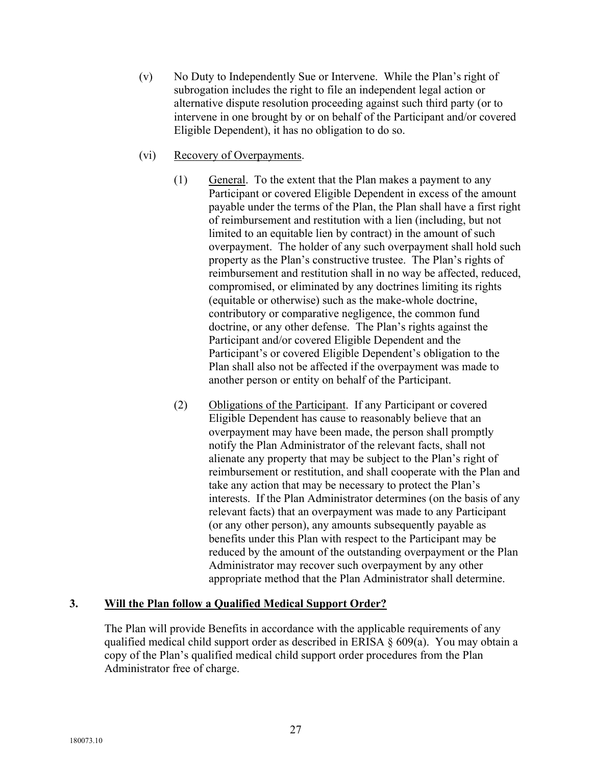- (v) No Duty to Independently Sue or Intervene. While the Plan's right of subrogation includes the right to file an independent legal action or alternative dispute resolution proceeding against such third party (or to intervene in one brought by or on behalf of the Participant and/or covered Eligible Dependent), it has no obligation to do so.
- (vi) Recovery of Overpayments.
	- (1) General. To the extent that the Plan makes a payment to any Participant or covered Eligible Dependent in excess of the amount payable under the terms of the Plan, the Plan shall have a first right of reimbursement and restitution with a lien (including, but not limited to an equitable lien by contract) in the amount of such overpayment. The holder of any such overpayment shall hold such property as the Plan's constructive trustee. The Plan's rights of reimbursement and restitution shall in no way be affected, reduced, compromised, or eliminated by any doctrines limiting its rights (equitable or otherwise) such as the make-whole doctrine, contributory or comparative negligence, the common fund doctrine, or any other defense. The Plan's rights against the Participant and/or covered Eligible Dependent and the Participant's or covered Eligible Dependent's obligation to the Plan shall also not be affected if the overpayment was made to another person or entity on behalf of the Participant.
	- (2) Obligations of the Participant. If any Participant or covered Eligible Dependent has cause to reasonably believe that an overpayment may have been made, the person shall promptly notify the Plan Administrator of the relevant facts, shall not alienate any property that may be subject to the Plan's right of reimbursement or restitution, and shall cooperate with the Plan and take any action that may be necessary to protect the Plan's interests. If the Plan Administrator determines (on the basis of any relevant facts) that an overpayment was made to any Participant (or any other person), any amounts subsequently payable as benefits under this Plan with respect to the Participant may be reduced by the amount of the outstanding overpayment or the Plan Administrator may recover such overpayment by any other appropriate method that the Plan Administrator shall determine.

# **3. Will the Plan follow a Qualified Medical Support Order?**

The Plan will provide Benefits in accordance with the applicable requirements of any qualified medical child support order as described in ERISA § 609(a). You may obtain a copy of the Plan's qualified medical child support order procedures from the Plan Administrator free of charge.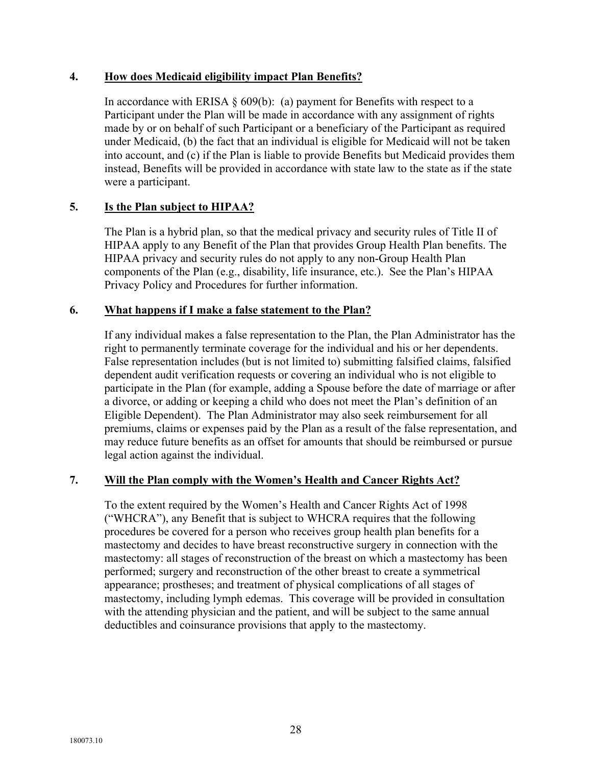## **4. How does Medicaid eligibility impact Plan Benefits?**

In accordance with ERISA  $\S$  609(b): (a) payment for Benefits with respect to a Participant under the Plan will be made in accordance with any assignment of rights made by or on behalf of such Participant or a beneficiary of the Participant as required under Medicaid, (b) the fact that an individual is eligible for Medicaid will not be taken into account, and (c) if the Plan is liable to provide Benefits but Medicaid provides them instead, Benefits will be provided in accordance with state law to the state as if the state were a participant.

# **5. Is the Plan subject to HIPAA?**

The Plan is a hybrid plan, so that the medical privacy and security rules of Title II of HIPAA apply to any Benefit of the Plan that provides Group Health Plan benefits. The HIPAA privacy and security rules do not apply to any non-Group Health Plan components of the Plan (e.g., disability, life insurance, etc.). See the Plan's HIPAA Privacy Policy and Procedures for further information.

#### **6. What happens if I make a false statement to the Plan?**

If any individual makes a false representation to the Plan, the Plan Administrator has the right to permanently terminate coverage for the individual and his or her dependents. False representation includes (but is not limited to) submitting falsified claims, falsified dependent audit verification requests or covering an individual who is not eligible to participate in the Plan (for example, adding a Spouse before the date of marriage or after a divorce, or adding or keeping a child who does not meet the Plan's definition of an Eligible Dependent). The Plan Administrator may also seek reimbursement for all premiums, claims or expenses paid by the Plan as a result of the false representation, and may reduce future benefits as an offset for amounts that should be reimbursed or pursue legal action against the individual.

#### **7. Will the Plan comply with the Women's Health and Cancer Rights Act?**

To the extent required by the Women's Health and Cancer Rights Act of 1998 ("WHCRA"), any Benefit that is subject to WHCRA requires that the following procedures be covered for a person who receives group health plan benefits for a mastectomy and decides to have breast reconstructive surgery in connection with the mastectomy: all stages of reconstruction of the breast on which a mastectomy has been performed; surgery and reconstruction of the other breast to create a symmetrical appearance; prostheses; and treatment of physical complications of all stages of mastectomy, including lymph edemas. This coverage will be provided in consultation with the attending physician and the patient, and will be subject to the same annual deductibles and coinsurance provisions that apply to the mastectomy.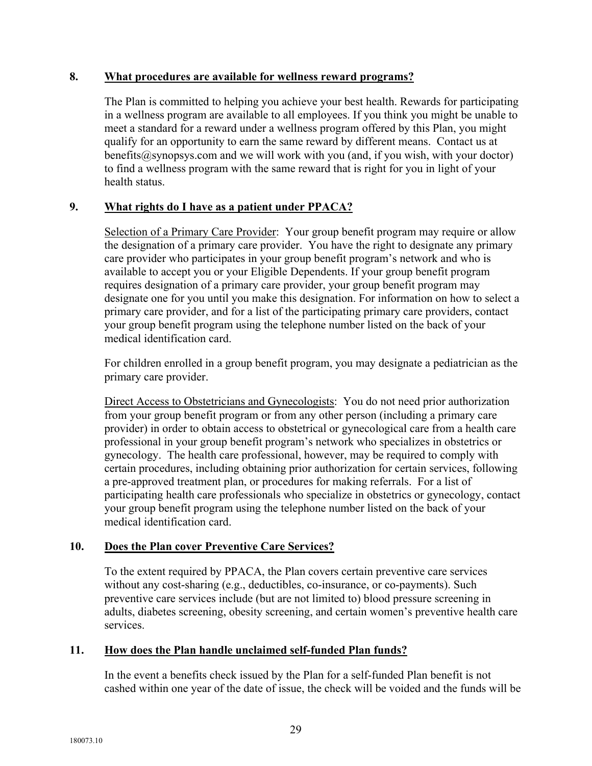#### **8. What procedures are available for wellness reward programs?**

The Plan is committed to helping you achieve your best health. Rewards for participating in a wellness program are available to all employees. If you think you might be unable to meet a standard for a reward under a wellness program offered by this Plan, you might qualify for an opportunity to earn the same reward by different means. Contact us at benefits@synopsys.com and we will work with you (and, if you wish, with your doctor) to find a wellness program with the same reward that is right for you in light of your health status.

# **9. What rights do I have as a patient under PPACA?**

Selection of a Primary Care Provider: Your group benefit program may require or allow the designation of a primary care provider. You have the right to designate any primary care provider who participates in your group benefit program's network and who is available to accept you or your Eligible Dependents. If your group benefit program requires designation of a primary care provider, your group benefit program may designate one for you until you make this designation. For information on how to select a primary care provider, and for a list of the participating primary care providers, contact your group benefit program using the telephone number listed on the back of your medical identification card.

For children enrolled in a group benefit program, you may designate a pediatrician as the primary care provider.

Direct Access to Obstetricians and Gynecologists: You do not need prior authorization from your group benefit program or from any other person (including a primary care provider) in order to obtain access to obstetrical or gynecological care from a health care professional in your group benefit program's network who specializes in obstetrics or gynecology. The health care professional, however, may be required to comply with certain procedures, including obtaining prior authorization for certain services, following a pre-approved treatment plan, or procedures for making referrals. For a list of participating health care professionals who specialize in obstetrics or gynecology, contact your group benefit program using the telephone number listed on the back of your medical identification card.

# **10. Does the Plan cover Preventive Care Services?**

To the extent required by PPACA, the Plan covers certain preventive care services without any cost-sharing (e.g., deductibles, co-insurance, or co-payments). Such preventive care services include (but are not limited to) blood pressure screening in adults, diabetes screening, obesity screening, and certain women's preventive health care services.

# **11. How does the Plan handle unclaimed self-funded Plan funds?**

In the event a benefits check issued by the Plan for a self-funded Plan benefit is not cashed within one year of the date of issue, the check will be voided and the funds will be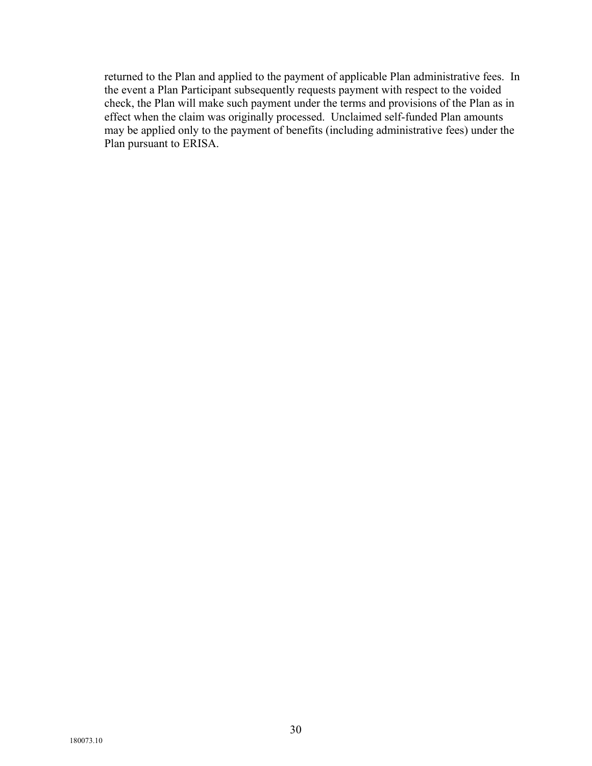returned to the Plan and applied to the payment of applicable Plan administrative fees. In the event a Plan Participant subsequently requests payment with respect to the voided check, the Plan will make such payment under the terms and provisions of the Plan as in effect when the claim was originally processed. Unclaimed self-funded Plan amounts may be applied only to the payment of benefits (including administrative fees) under the Plan pursuant to ERISA.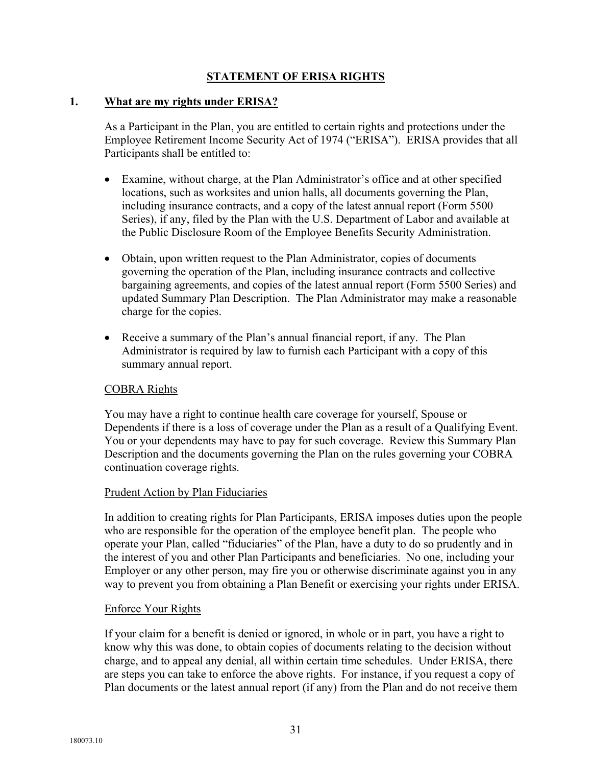# **STATEMENT OF ERISA RIGHTS**

#### **1. What are my rights under ERISA?**

As a Participant in the Plan, you are entitled to certain rights and protections under the Employee Retirement Income Security Act of 1974 ("ERISA"). ERISA provides that all Participants shall be entitled to:

- Examine, without charge, at the Plan Administrator's office and at other specified locations, such as worksites and union halls, all documents governing the Plan, including insurance contracts, and a copy of the latest annual report (Form 5500 Series), if any, filed by the Plan with the U.S. Department of Labor and available at the Public Disclosure Room of the Employee Benefits Security Administration.
- Obtain, upon written request to the Plan Administrator, copies of documents governing the operation of the Plan, including insurance contracts and collective bargaining agreements, and copies of the latest annual report (Form 5500 Series) and updated Summary Plan Description. The Plan Administrator may make a reasonable charge for the copies.
- Receive a summary of the Plan's annual financial report, if any. The Plan Administrator is required by law to furnish each Participant with a copy of this summary annual report.

#### COBRA Rights

You may have a right to continue health care coverage for yourself, Spouse or Dependents if there is a loss of coverage under the Plan as a result of a Qualifying Event. You or your dependents may have to pay for such coverage. Review this Summary Plan Description and the documents governing the Plan on the rules governing your COBRA continuation coverage rights.

#### Prudent Action by Plan Fiduciaries

In addition to creating rights for Plan Participants, ERISA imposes duties upon the people who are responsible for the operation of the employee benefit plan. The people who operate your Plan, called "fiduciaries" of the Plan, have a duty to do so prudently and in the interest of you and other Plan Participants and beneficiaries. No one, including your Employer or any other person, may fire you or otherwise discriminate against you in any way to prevent you from obtaining a Plan Benefit or exercising your rights under ERISA.

#### Enforce Your Rights

If your claim for a benefit is denied or ignored, in whole or in part, you have a right to know why this was done, to obtain copies of documents relating to the decision without charge, and to appeal any denial, all within certain time schedules. Under ERISA, there are steps you can take to enforce the above rights. For instance, if you request a copy of Plan documents or the latest annual report (if any) from the Plan and do not receive them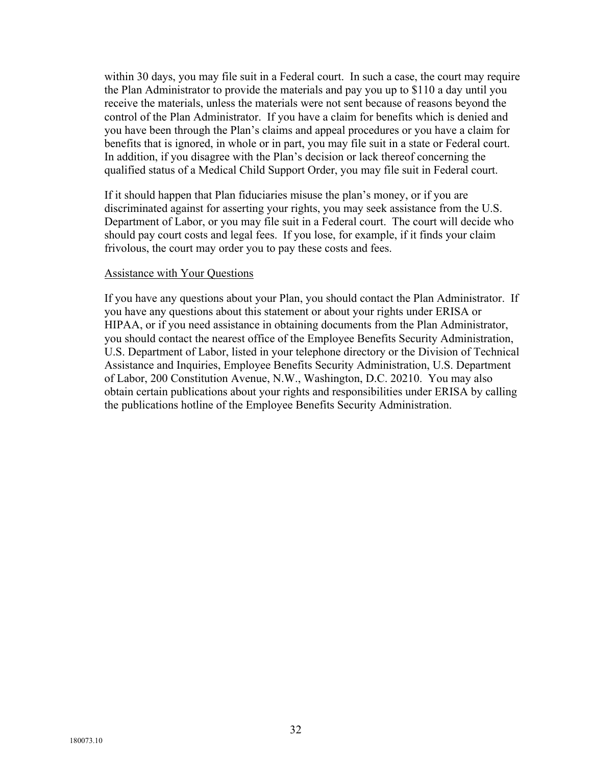within 30 days, you may file suit in a Federal court. In such a case, the court may require the Plan Administrator to provide the materials and pay you up to \$110 a day until you receive the materials, unless the materials were not sent because of reasons beyond the control of the Plan Administrator. If you have a claim for benefits which is denied and you have been through the Plan's claims and appeal procedures or you have a claim for benefits that is ignored, in whole or in part, you may file suit in a state or Federal court. In addition, if you disagree with the Plan's decision or lack thereof concerning the qualified status of a Medical Child Support Order, you may file suit in Federal court.

If it should happen that Plan fiduciaries misuse the plan's money, or if you are discriminated against for asserting your rights, you may seek assistance from the U.S. Department of Labor, or you may file suit in a Federal court. The court will decide who should pay court costs and legal fees. If you lose, for example, if it finds your claim frivolous, the court may order you to pay these costs and fees.

#### Assistance with Your Questions

If you have any questions about your Plan, you should contact the Plan Administrator. If you have any questions about this statement or about your rights under ERISA or HIPAA, or if you need assistance in obtaining documents from the Plan Administrator, you should contact the nearest office of the Employee Benefits Security Administration, U.S. Department of Labor, listed in your telephone directory or the Division of Technical Assistance and Inquiries, Employee Benefits Security Administration, U.S. Department of Labor, 200 Constitution Avenue, N.W., Washington, D.C. 20210. You may also obtain certain publications about your rights and responsibilities under ERISA by calling the publications hotline of the Employee Benefits Security Administration.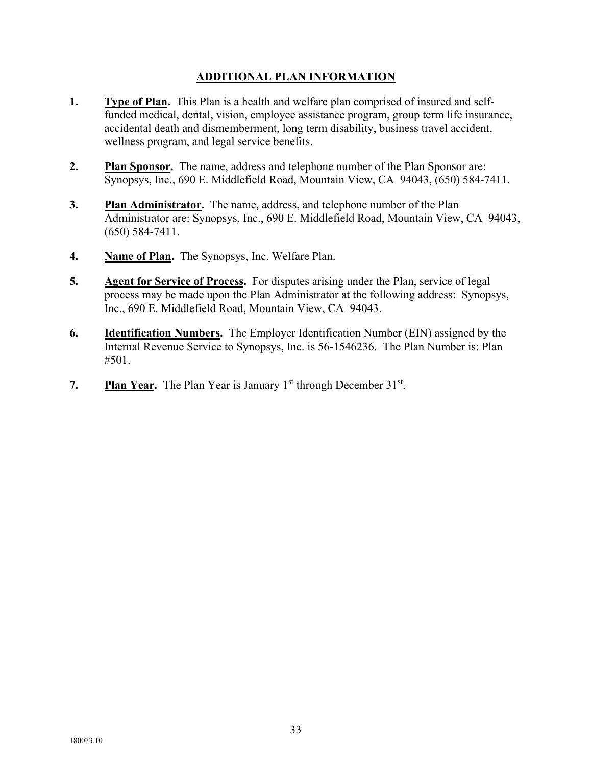# **ADDITIONAL PLAN INFORMATION**

- **1. Type of Plan.** This Plan is a health and welfare plan comprised of insured and selffunded medical, dental, vision, employee assistance program, group term life insurance, accidental death and dismemberment, long term disability, business travel accident, wellness program, and legal service benefits.
- **2. Plan Sponsor.** The name, address and telephone number of the Plan Sponsor are: Synopsys, Inc., 690 E. Middlefield Road, Mountain View, CA 94043, (650) 584-7411.
- **3. Plan Administrator.** The name, address, and telephone number of the Plan Administrator are: Synopsys, Inc., 690 E. Middlefield Road, Mountain View, CA 94043, (650) 584-7411.
- **4. Name of Plan.** The Synopsys, Inc. Welfare Plan.
- **5. Agent for Service of Process.** For disputes arising under the Plan, service of legal process may be made upon the Plan Administrator at the following address: Synopsys, Inc., 690 E. Middlefield Road, Mountain View, CA 94043.
- **6. Identification Numbers.** The Employer Identification Number (EIN) assigned by the Internal Revenue Service to Synopsys, Inc. is 56-1546236. The Plan Number is: Plan #501.
- **7.** Plan Year. The Plan Year is January 1<sup>st</sup> through December 31<sup>st</sup>.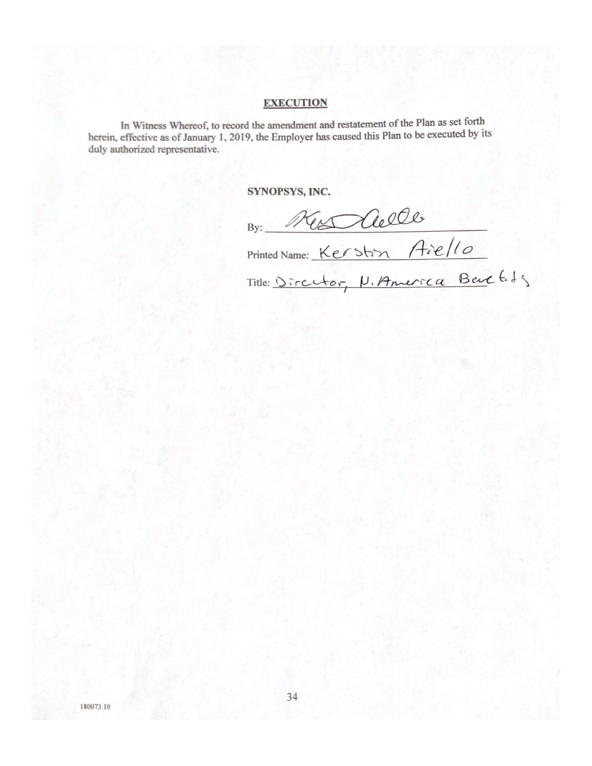#### **EXECUTION**

In Witness Whereof, to record the amendment and restatement of the Plan as set forth herein, effective as of January 1, 2019, the Employer has caused this Plan to be executed by its duly authorized representative.

SYNOPSYS, INC.

By: New Clelle<br>Printed Name: Kerstin Aie/10<br>Title: Director, N. America Beut Eds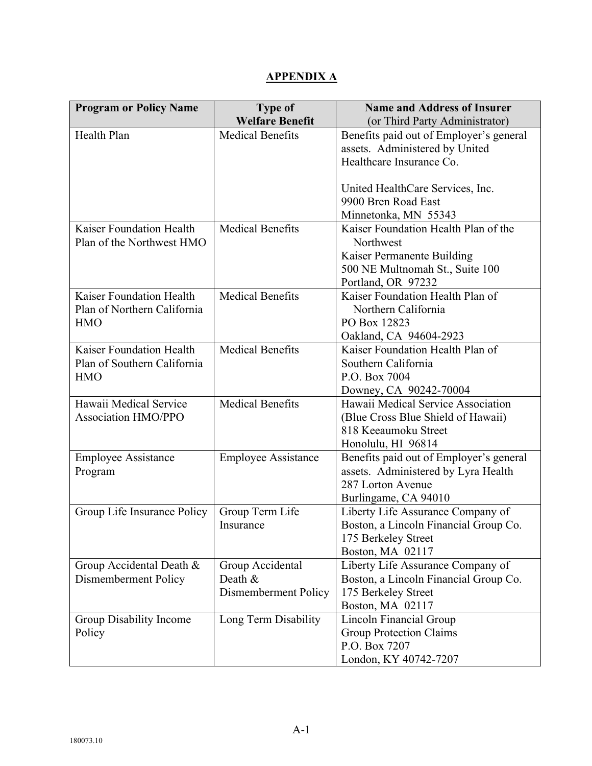# **APPENDIX A**

| <b>Program or Policy Name</b> | <b>Type of</b><br><b>Welfare Benefit</b> | <b>Name and Address of Insurer</b>      |
|-------------------------------|------------------------------------------|-----------------------------------------|
|                               |                                          | (or Third Party Administrator)          |
| Health Plan                   | <b>Medical Benefits</b>                  | Benefits paid out of Employer's general |
|                               |                                          | assets. Administered by United          |
|                               |                                          | Healthcare Insurance Co.                |
|                               |                                          |                                         |
|                               |                                          | United HealthCare Services, Inc.        |
|                               |                                          | 9900 Bren Road East                     |
|                               |                                          | Minnetonka, MN 55343                    |
| Kaiser Foundation Health      | <b>Medical Benefits</b>                  | Kaiser Foundation Health Plan of the    |
| Plan of the Northwest HMO     |                                          | Northwest                               |
|                               |                                          | Kaiser Permanente Building              |
|                               |                                          | 500 NE Multnomah St., Suite 100         |
|                               |                                          | Portland, OR 97232                      |
| Kaiser Foundation Health      | <b>Medical Benefits</b>                  | Kaiser Foundation Health Plan of        |
| Plan of Northern California   |                                          | Northern California                     |
| <b>HMO</b>                    |                                          | PO Box 12823                            |
|                               |                                          | Oakland, CA 94604-2923                  |
| Kaiser Foundation Health      | <b>Medical Benefits</b>                  | Kaiser Foundation Health Plan of        |
| Plan of Southern California   |                                          | Southern California                     |
| <b>HMO</b>                    |                                          | P.O. Box 7004                           |
|                               |                                          | Downey, CA 90242-70004                  |
| Hawaii Medical Service        | <b>Medical Benefits</b>                  | Hawaii Medical Service Association      |
| <b>Association HMO/PPO</b>    |                                          | (Blue Cross Blue Shield of Hawaii)      |
|                               |                                          | 818 Keeaumoku Street                    |
|                               |                                          | Honolulu, HI 96814                      |
| <b>Employee Assistance</b>    | <b>Employee Assistance</b>               | Benefits paid out of Employer's general |
| Program                       |                                          | assets. Administered by Lyra Health     |
|                               |                                          | 287 Lorton Avenue                       |
|                               |                                          | Burlingame, CA 94010                    |
| Group Life Insurance Policy   | Group Term Life                          | Liberty Life Assurance Company of       |
|                               | Insurance                                | Boston, a Lincoln Financial Group Co.   |
|                               |                                          | 175 Berkeley Street                     |
|                               |                                          | Boston, MA 02117                        |
| Group Accidental Death &      | Group Accidental                         | Liberty Life Assurance Company of       |
| Dismemberment Policy          | Death &                                  | Boston, a Lincoln Financial Group Co.   |
|                               | Dismemberment Policy                     | 175 Berkeley Street                     |
|                               |                                          | Boston, MA 02117                        |
| Group Disability Income       | Long Term Disability                     | Lincoln Financial Group                 |
| Policy                        |                                          | <b>Group Protection Claims</b>          |
|                               |                                          | P.O. Box 7207                           |
|                               |                                          | London, KY 40742-7207                   |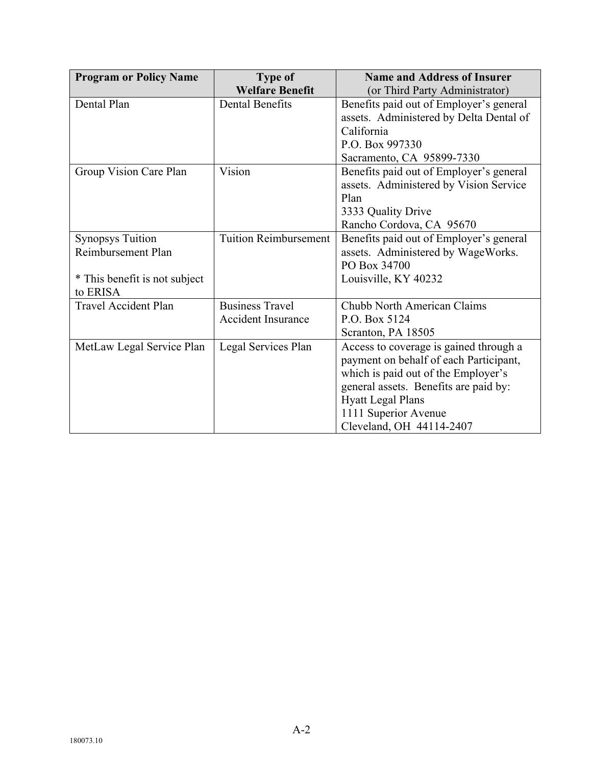| <b>Program or Policy Name</b> | <b>Type of</b>               | <b>Name and Address of Insurer</b>      |
|-------------------------------|------------------------------|-----------------------------------------|
|                               | <b>Welfare Benefit</b>       | (or Third Party Administrator)          |
| Dental Plan                   | <b>Dental Benefits</b>       | Benefits paid out of Employer's general |
|                               |                              | assets. Administered by Delta Dental of |
|                               |                              | California                              |
|                               |                              | P.O. Box 997330                         |
|                               |                              | Sacramento, CA 95899-7330               |
| Group Vision Care Plan        | Vision                       | Benefits paid out of Employer's general |
|                               |                              | assets. Administered by Vision Service  |
|                               |                              | Plan                                    |
|                               |                              | 3333 Quality Drive                      |
|                               |                              | Rancho Cordova, CA 95670                |
| <b>Synopsys Tuition</b>       | <b>Tuition Reimbursement</b> | Benefits paid out of Employer's general |
| Reimbursement Plan            |                              | assets. Administered by WageWorks.      |
|                               |                              | PO Box 34700                            |
| * This benefit is not subject |                              | Louisville, KY 40232                    |
| to ERISA                      |                              |                                         |
| <b>Travel Accident Plan</b>   | <b>Business Travel</b>       | Chubb North American Claims             |
|                               | Accident Insurance           | P.O. Box 5124                           |
|                               |                              | Scranton, PA 18505                      |
| MetLaw Legal Service Plan     | Legal Services Plan          | Access to coverage is gained through a  |
|                               |                              | payment on behalf of each Participant,  |
|                               |                              | which is paid out of the Employer's     |
|                               |                              | general assets. Benefits are paid by:   |
|                               |                              | <b>Hyatt Legal Plans</b>                |
|                               |                              | 1111 Superior Avenue                    |
|                               |                              | Cleveland, OH 44114-2407                |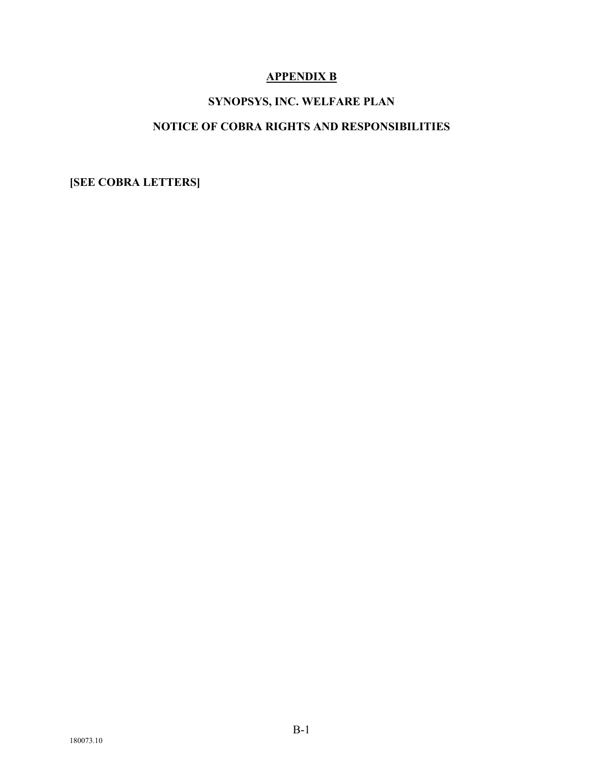# **APPENDIX B**

# **SYNOPSYS, INC. WELFARE PLAN**

# **NOTICE OF COBRA RIGHTS AND RESPONSIBILITIES**

**[SEE COBRA LETTERS]**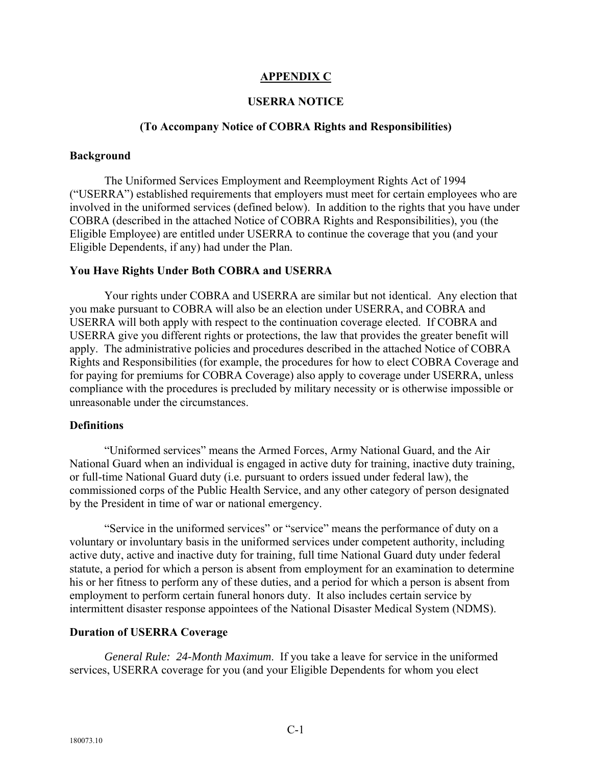#### **APPENDIX C**

#### **USERRA NOTICE**

#### **(To Accompany Notice of COBRA Rights and Responsibilities)**

#### **Background**

The Uniformed Services Employment and Reemployment Rights Act of 1994 ("USERRA") established requirements that employers must meet for certain employees who are involved in the uniformed services (defined below). In addition to the rights that you have under COBRA (described in the attached Notice of COBRA Rights and Responsibilities), you (the Eligible Employee) are entitled under USERRA to continue the coverage that you (and your Eligible Dependents, if any) had under the Plan.

#### **You Have Rights Under Both COBRA and USERRA**

Your rights under COBRA and USERRA are similar but not identical. Any election that you make pursuant to COBRA will also be an election under USERRA, and COBRA and USERRA will both apply with respect to the continuation coverage elected. If COBRA and USERRA give you different rights or protections, the law that provides the greater benefit will apply. The administrative policies and procedures described in the attached Notice of COBRA Rights and Responsibilities (for example, the procedures for how to elect COBRA Coverage and for paying for premiums for COBRA Coverage) also apply to coverage under USERRA, unless compliance with the procedures is precluded by military necessity or is otherwise impossible or unreasonable under the circumstances.

#### **Definitions**

"Uniformed services" means the Armed Forces, Army National Guard, and the Air National Guard when an individual is engaged in active duty for training, inactive duty training, or full-time National Guard duty (i.e. pursuant to orders issued under federal law), the commissioned corps of the Public Health Service, and any other category of person designated by the President in time of war or national emergency.

"Service in the uniformed services" or "service" means the performance of duty on a voluntary or involuntary basis in the uniformed services under competent authority, including active duty, active and inactive duty for training, full time National Guard duty under federal statute, a period for which a person is absent from employment for an examination to determine his or her fitness to perform any of these duties, and a period for which a person is absent from employment to perform certain funeral honors duty. It also includes certain service by intermittent disaster response appointees of the National Disaster Medical System (NDMS).

#### **Duration of USERRA Coverage**

*General Rule: 24-Month Maximum*. If you take a leave for service in the uniformed services, USERRA coverage for you (and your Eligible Dependents for whom you elect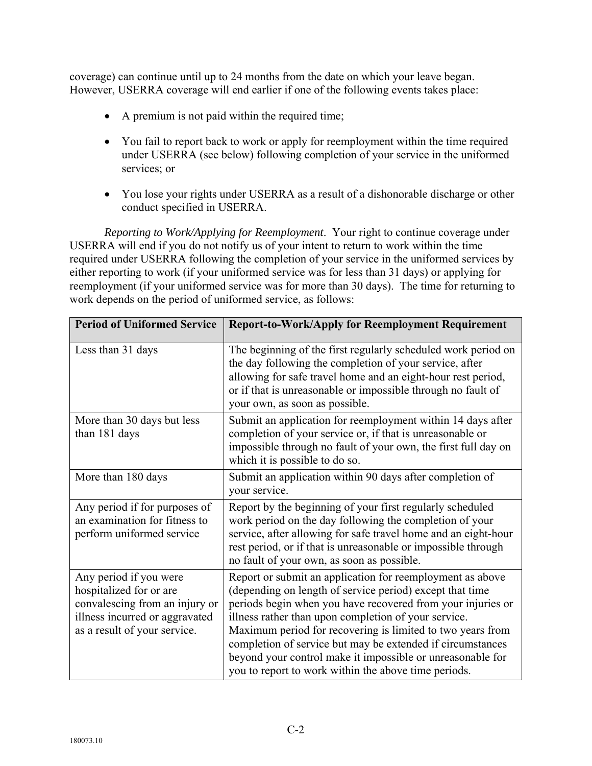coverage) can continue until up to 24 months from the date on which your leave began. However, USERRA coverage will end earlier if one of the following events takes place:

- A premium is not paid within the required time;
- You fail to report back to work or apply for reemployment within the time required under USERRA (see below) following completion of your service in the uniformed services; or
- You lose your rights under USERRA as a result of a dishonorable discharge or other conduct specified in USERRA.

*Reporting to Work/Applying for Reemployment*. Your right to continue coverage under USERRA will end if you do not notify us of your intent to return to work within the time required under USERRA following the completion of your service in the uniformed services by either reporting to work (if your uniformed service was for less than 31 days) or applying for reemployment (if your uniformed service was for more than 30 days). The time for returning to work depends on the period of uniformed service, as follows:

| <b>Period of Uniformed Service</b>                                                                                                                    | <b>Report-to-Work/Apply for Reemployment Requirement</b>                                                                                                                                                                                                                                                                                                                                                                                                                                       |
|-------------------------------------------------------------------------------------------------------------------------------------------------------|------------------------------------------------------------------------------------------------------------------------------------------------------------------------------------------------------------------------------------------------------------------------------------------------------------------------------------------------------------------------------------------------------------------------------------------------------------------------------------------------|
| Less than 31 days                                                                                                                                     | The beginning of the first regularly scheduled work period on<br>the day following the completion of your service, after<br>allowing for safe travel home and an eight-hour rest period,<br>or if that is unreasonable or impossible through no fault of<br>your own, as soon as possible.                                                                                                                                                                                                     |
| More than 30 days but less<br>than 181 days                                                                                                           | Submit an application for reemployment within 14 days after<br>completion of your service or, if that is unreasonable or<br>impossible through no fault of your own, the first full day on<br>which it is possible to do so.                                                                                                                                                                                                                                                                   |
| More than 180 days                                                                                                                                    | Submit an application within 90 days after completion of<br>your service.                                                                                                                                                                                                                                                                                                                                                                                                                      |
| Any period if for purposes of<br>an examination for fitness to<br>perform uniformed service                                                           | Report by the beginning of your first regularly scheduled<br>work period on the day following the completion of your<br>service, after allowing for safe travel home and an eight-hour<br>rest period, or if that is unreasonable or impossible through<br>no fault of your own, as soon as possible.                                                                                                                                                                                          |
| Any period if you were<br>hospitalized for or are<br>convalescing from an injury or<br>illness incurred or aggravated<br>as a result of your service. | Report or submit an application for reemployment as above<br>(depending on length of service period) except that time<br>periods begin when you have recovered from your injuries or<br>illness rather than upon completion of your service.<br>Maximum period for recovering is limited to two years from<br>completion of service but may be extended if circumstances<br>beyond your control make it impossible or unreasonable for<br>you to report to work within the above time periods. |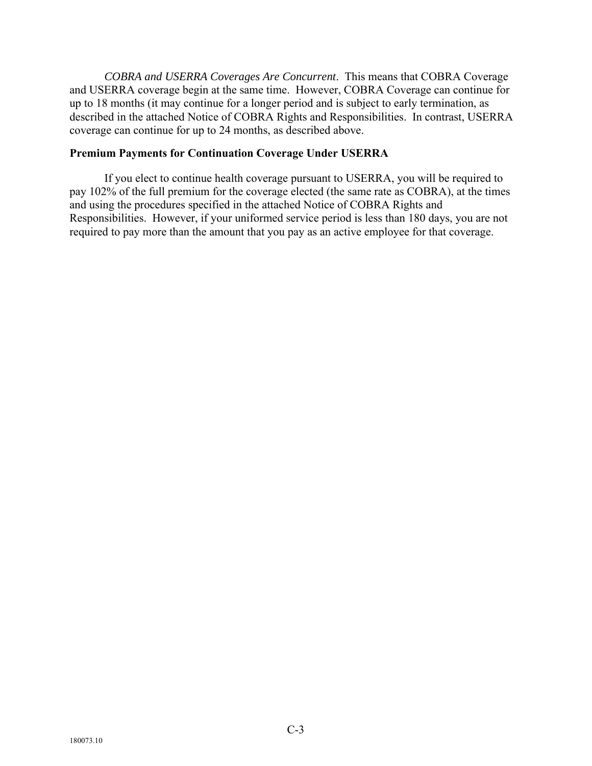*COBRA and USERRA Coverages Are Concurrent*. This means that COBRA Coverage and USERRA coverage begin at the same time. However, COBRA Coverage can continue for up to 18 months (it may continue for a longer period and is subject to early termination, as described in the attached Notice of COBRA Rights and Responsibilities. In contrast, USERRA coverage can continue for up to 24 months, as described above.

#### **Premium Payments for Continuation Coverage Under USERRA**

If you elect to continue health coverage pursuant to USERRA, you will be required to pay 102% of the full premium for the coverage elected (the same rate as COBRA), at the times and using the procedures specified in the attached Notice of COBRA Rights and Responsibilities. However, if your uniformed service period is less than 180 days, you are not required to pay more than the amount that you pay as an active employee for that coverage.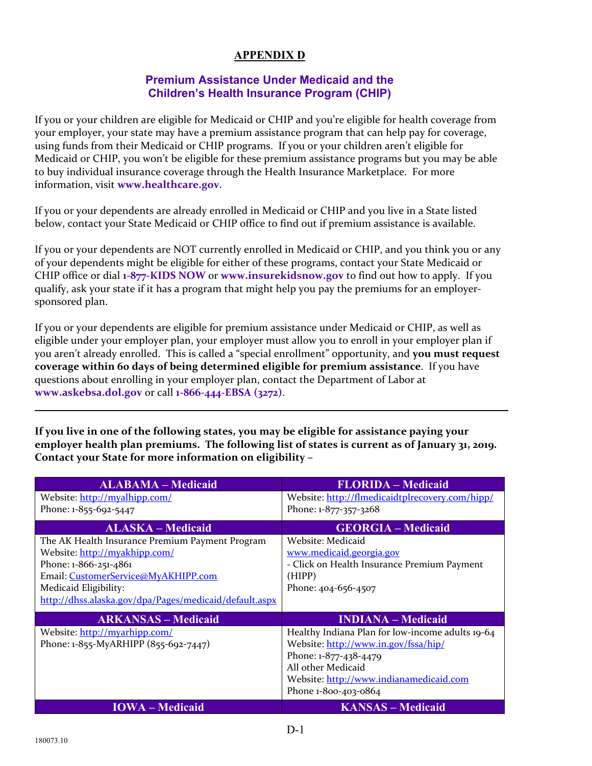# **APPENDIX D**

#### **Premium Assistance Under Medicaid and the Children's Health Insurance Program (CHIP)**

If you or your children are eligible for Medicaid or CHIP and you're eligible for health coverage from your employer, your state may have a premium assistance program that can help pay for coverage, using funds from their Medicaid or CHIP programs. If you or your children aren't eligible for Medicaid or CHIP, you won't be eligible for these premium assistance programs but you may be able to buy individual insurance coverage through the Health Insurance Marketplace. For more information, visit **www.healthcare.gov**.

If you or your dependents are already enrolled in Medicaid or CHIP and you live in a State listed below, contact your State Medicaid or CHIP office to find out if premium assistance is available.

If you or your dependents are NOT currently enrolled in Medicaid or CHIP, and you think you or any of your dependents might be eligible for either of these programs, contact your State Medicaid or CHIP office or dial **1‐877‐KIDS NOW** or **www.insurekidsnow.gov** to find out how to apply. If you qualify, ask your state if it has a program that might help you pay the premiums for an employer‐ sponsored plan.

If you or your dependents are eligible for premium assistance under Medicaid or CHIP, as well as eligible under your employer plan, your employer must allow you to enroll in your employer plan if you aren't already enrolled. This is called a "special enrollment" opportunity, and **you must request coverage within 60 days of being determined eligible for premium assistance**. If you have questions about enrolling in your employer plan, contact the Department of Labor at **www.askebsa.dol.gov** or call **1‐866‐444‐EBSA (3272)**.

**If you live in one of the following states, you may be eligible for assistance paying your employer health plan premiums. The following list of states is current as of January 31, 2019. Contact your State for more information on eligibility –**

| <b>ALABAMA – Medicaid</b>                              | <b>FLORIDA - Medicaid</b>                        |
|--------------------------------------------------------|--------------------------------------------------|
| Website: http://myalhipp.com/                          | Website: http://flmedicaidtplrecovery.com/hipp/  |
| Phone: 1-855-692-5447                                  | Phone: 1-877-357-3268                            |
| <b>ALASKA – Medicaid</b>                               | <b>GEORGIA – Medicaid</b>                        |
| The AK Health Insurance Premium Payment Program        | Website: Medicaid                                |
| Website: http://myakhipp.com/                          | www.medicaid.georgia.gov                         |
| Phone: 1-866-251-4861                                  | - Click on Health Insurance Premium Payment      |
| Email: CustomerService@MyAKHIPP.com                    | (HIPP)                                           |
| Medicaid Eligibility:                                  | Phone: 404-656-4507                              |
| http://dhss.alaska.gov/dpa/Pages/medicaid/default.aspx |                                                  |
| <b>ARKANSAS – Medicaid</b>                             | <b>INDIANA</b> – Medicaid                        |
| Website: http://myarhipp.com/                          | Healthy Indiana Plan for low-income adults 19-64 |
| Phone: 1-855-MyARHIPP (855-692-7447)                   | Website: http://www.in.gov/fssa/hip/             |
|                                                        | Phone: 1-877-438-4479                            |
|                                                        | All other Medicaid                               |
|                                                        | Website: http://www.indianamedicaid.com          |
|                                                        | Phone 1-800-403-0864                             |
| <b>IOWA</b> – Medicaid                                 | <b>KANSAS – Medicaid</b>                         |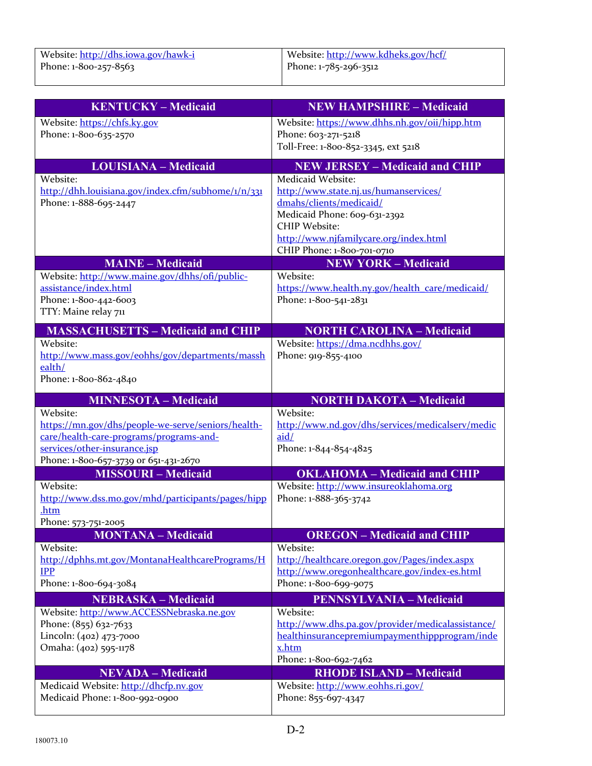| Website: http://dhs.iowa.gov/hawk-i | Website: http://www.kdheks.gov/hcf/ |
|-------------------------------------|-------------------------------------|
| Phone: 1-800-257-8563               | Phone: 1-785-296-3512               |

| <b>KENTUCKY - Medicaid</b>                                                  | <b>NEW HAMPSHIRE - Medicaid</b>                                  |
|-----------------------------------------------------------------------------|------------------------------------------------------------------|
| Website: https://chfs.ky.gov                                                | Website: https://www.dhhs.nh.gov/oii/hipp.htm                    |
| Phone: 1-800-635-2570                                                       | Phone: 603-271-5218                                              |
|                                                                             | Toll-Free: 1-800-852-3345, ext 5218                              |
| <b>LOUISIANA - Medicaid</b>                                                 | <b>NEW JERSEY - Medicaid and CHIP</b>                            |
| Website:                                                                    | Medicaid Website:                                                |
| http://dhh.louisiana.gov/index.cfm/subhome/1/n/331<br>Phone: 1-888-695-2447 | http://www.state.nj.us/humanservices/<br>dmahs/clients/medicaid/ |
|                                                                             | Medicaid Phone: 609-631-2392                                     |
|                                                                             | <b>CHIP Website:</b>                                             |
|                                                                             | http://www.njfamilycare.org/index.html                           |
|                                                                             | CHIP Phone: 1-800-701-0710                                       |
| <b>MAINE - Medicaid</b>                                                     | <b>NEW YORK - Medicaid</b>                                       |
| Website: http://www.maine.gov/dhhs/ofi/public-                              | Website:                                                         |
| assistance/index.html                                                       | https://www.health.ny.gov/health_care/medicaid/                  |
| Phone: 1-800-442-6003<br>TTY: Maine relay 711                               | Phone: 1-800-541-2831                                            |
|                                                                             |                                                                  |
| <b>MASSACHUSETTS - Medicaid and CHIP</b>                                    | <b>NORTH CAROLINA - Medicaid</b>                                 |
| Website:<br>http://www.mass.gov/eohhs/gov/departments/massh                 | Website: https://dma.ncdhhs.gov/<br>Phone: 919-855-4100          |
| ealth/                                                                      |                                                                  |
| Phone: 1-800-862-4840                                                       |                                                                  |
|                                                                             |                                                                  |
| <b>MINNESOTA - Medicaid</b><br>Website:                                     | <b>NORTH DAKOTA - Medicaid</b><br>Website:                       |
| https://mn.gov/dhs/people-we-serve/seniors/health-                          | http://www.nd.gov/dhs/services/medicalserv/medic                 |
| care/health-care-programs/programs-and-                                     | aid/                                                             |
| services/other-insurance.jsp                                                | Phone: 1-844-854-4825                                            |
| Phone: 1-800-657-3739 or 651-431-2670                                       |                                                                  |
| <b>MISSOURI-Medicaid</b>                                                    | <b>OKLAHOMA - Medicaid and CHIP</b>                              |
| Website:                                                                    | Website: http://www.insureoklahoma.org                           |
| http://www.dss.mo.gov/mhd/participants/pages/hipp<br>.htm                   | Phone: 1-888-365-3742                                            |
| Phone: 573-751-2005                                                         |                                                                  |
| <b>MONTANA – Medicaid</b>                                                   | <b>OREGON</b> – Medicaid and CHIP                                |
| Website:                                                                    | Website:                                                         |
| http://dphhs.mt.gov/MontanaHealthcarePrograms/H                             | http://healthcare.oregon.gov/Pages/index.aspx                    |
| <b>IPP</b>                                                                  | http://www.oregonhealthcare.gov/index-es.html                    |
| Phone: 1-800-694-3084                                                       | Phone: 1-800-699-9075                                            |
| <b>NEBRASKA - Medicaid</b><br>Website: http://www.ACCESSNebraska.ne.gov     | <b>PENNSYLVANIA - Medicaid</b><br>Website:                       |
| Phone: (855) 632-7633                                                       | http://www.dhs.pa.gov/provider/medicalassistance/                |
| Lincoln: (402) 473-7000                                                     | healthinsurancepremiumpaymenthippprogram/inde                    |
| Omaha: (402) 595-1178                                                       | x.htm                                                            |
|                                                                             | Phone: 1-800-692-7462                                            |
| <b>NEVADA - Medicaid</b>                                                    | <b>RHODE ISLAND - Medicaid</b>                                   |
| Medicaid Website: http://dhcfp.nv.gov                                       | Website: http://www.eohhs.ri.gov/                                |
| Medicaid Phone: 1-800-992-0900                                              | Phone: 855-697-4347                                              |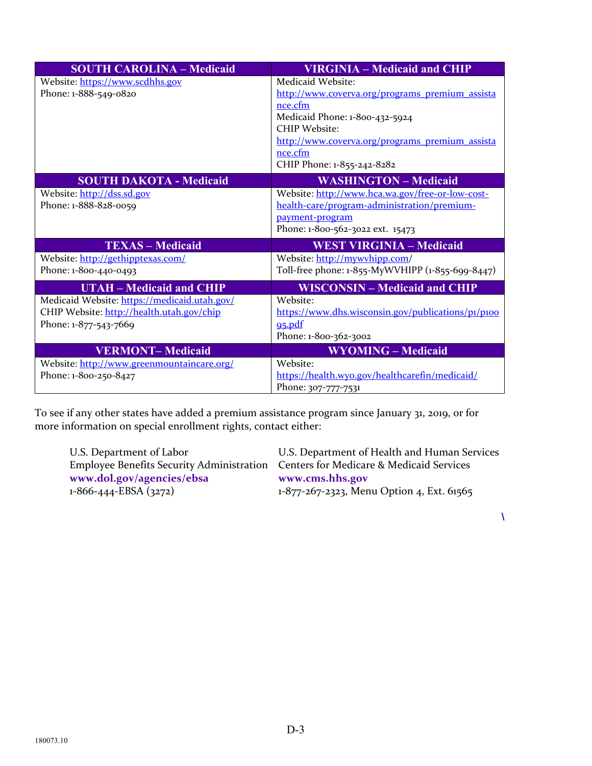| <b>SOUTH CAROLINA - Medicaid</b>             | <b>VIRGINIA - Medicaid and CHIP</b>                |
|----------------------------------------------|----------------------------------------------------|
| Website: https://www.scdhhs.gov              | Medicaid Website:                                  |
| Phone: 1-888-549-0820                        | http://www.coverva.org/programs premium assista    |
|                                              | nce.cfm                                            |
|                                              | Medicaid Phone: 1-800-432-5924                     |
|                                              | CHIP Website:                                      |
|                                              | http://www.coverva.org/programs premium assista    |
|                                              | nce.cfm                                            |
|                                              | CHIP Phone: 1-855-242-8282                         |
| <b>SOUTH DAKOTA - Medicaid</b>               | <b>WASHINGTON - Medicaid</b>                       |
| Website: http://dss.sd.gov                   | Website: http://www.hca.wa.gov/free-or-low-cost-   |
| Phone: 1-888-828-0059                        | health-care/program-administration/premium-        |
|                                              | payment-program                                    |
|                                              | Phone: 1-800-562-3022 ext. 15473                   |
| <b>TEXAS - Medicaid</b>                      | <b>WEST VIRGINIA - Medicaid</b>                    |
| Website: http://gethipptexas.com/            | Website: http://mywyhipp.com/                      |
| Phone: 1-800-440-0493                        | Toll-free phone: 1-855-MyWVHIPP (1-855-699-8447)   |
| <b>UTAH – Medicaid and CHIP</b>              | <b>WISCONSIN - Medicaid and CHIP</b>               |
| Medicaid Website: https://medicaid.utah.gov/ | Website:                                           |
| CHIP Website: http://health.utah.gov/chip    | https://www.dhs.wisconsin.gov/publications/p1/p100 |
| Phone: 1-877-543-7669                        | 95.pdf                                             |
|                                              | Phone: 1-800-362-3002                              |
| <b>VERMONT-Medicaid</b>                      | <b>WYOMING - Medicaid</b>                          |
| Website: http://www.greenmountaincare.org/   | Website:                                           |
| Phone: 1-800-250-8427                        | https://health.wyo.gov/healthcarefin/medicaid/     |
|                                              | Phone: 307-777-7531                                |

To see if any other states have added a premium assistance program since January 31, 2019, or for more information on special enrollment rights, contact either:

Employee Benefits Security Administration Centers for Medicare & Medicaid Services **www.dol.gov/agencies/ebsa**<br>1-866-444-EBSA (3272) 1-877-267-2323, Men

U.S. Department of Labor U.S. Department of Health and Human Services 1-877-267-2323, Menu Option 4, Ext. 61565

**\**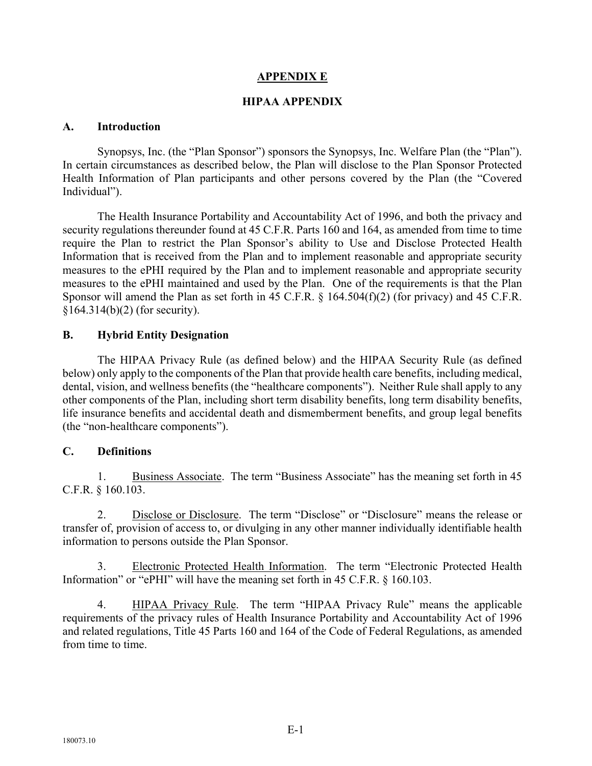#### **APPENDIX E**

#### **HIPAA APPENDIX**

#### **A. Introduction**

Synopsys, Inc. (the "Plan Sponsor") sponsors the Synopsys, Inc. Welfare Plan (the "Plan"). In certain circumstances as described below, the Plan will disclose to the Plan Sponsor Protected Health Information of Plan participants and other persons covered by the Plan (the "Covered Individual").

The Health Insurance Portability and Accountability Act of 1996, and both the privacy and security regulations thereunder found at 45 C.F.R. Parts 160 and 164, as amended from time to time require the Plan to restrict the Plan Sponsor's ability to Use and Disclose Protected Health Information that is received from the Plan and to implement reasonable and appropriate security measures to the ePHI required by the Plan and to implement reasonable and appropriate security measures to the ePHI maintained and used by the Plan. One of the requirements is that the Plan Sponsor will amend the Plan as set forth in 45 C.F.R. § 164.504(f)(2) (for privacy) and 45 C.F.R.  $§164.314(b)(2)$  (for security).

#### **B. Hybrid Entity Designation**

The HIPAA Privacy Rule (as defined below) and the HIPAA Security Rule (as defined below) only apply to the components of the Plan that provide health care benefits, including medical, dental, vision, and wellness benefits (the "healthcare components"). Neither Rule shall apply to any other components of the Plan, including short term disability benefits, long term disability benefits, life insurance benefits and accidental death and dismemberment benefits, and group legal benefits (the "non-healthcare components").

#### **C. Definitions**

1. Business Associate. The term "Business Associate" has the meaning set forth in 45 C.F.R. § 160.103.

2. Disclose or Disclosure. The term "Disclose" or "Disclosure" means the release or transfer of, provision of access to, or divulging in any other manner individually identifiable health information to persons outside the Plan Sponsor.

Electronic Protected Health Information. The term "Electronic Protected Health Information" or "ePHI" will have the meaning set forth in 45 C.F.R. § 160.103.

4. HIPAA Privacy Rule. The term "HIPAA Privacy Rule" means the applicable requirements of the privacy rules of Health Insurance Portability and Accountability Act of 1996 and related regulations, Title 45 Parts 160 and 164 of the Code of Federal Regulations, as amended from time to time.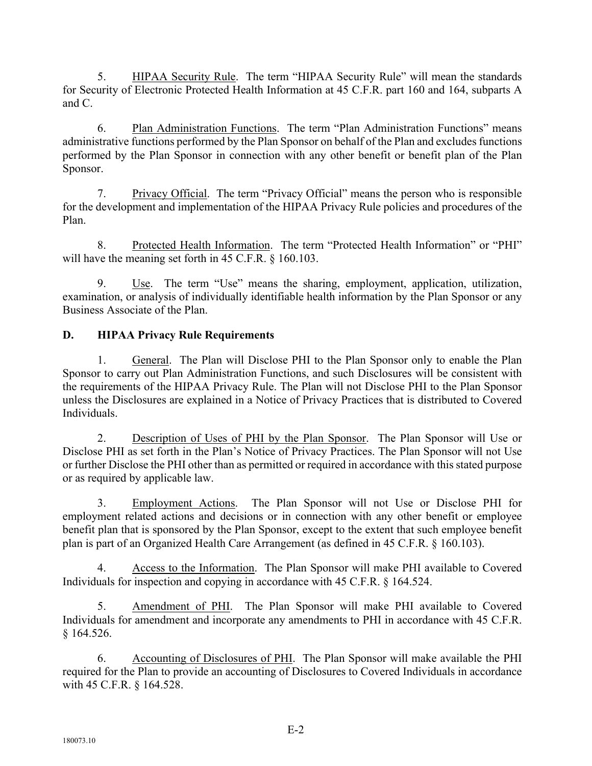5. HIPAA Security Rule. The term "HIPAA Security Rule" will mean the standards for Security of Electronic Protected Health Information at 45 C.F.R. part 160 and 164, subparts A and C.

6. Plan Administration Functions. The term "Plan Administration Functions" means administrative functions performed by the Plan Sponsor on behalf of the Plan and excludes functions performed by the Plan Sponsor in connection with any other benefit or benefit plan of the Plan Sponsor.

7. Privacy Official. The term "Privacy Official" means the person who is responsible for the development and implementation of the HIPAA Privacy Rule policies and procedures of the Plan.

8. Protected Health Information. The term "Protected Health Information" or "PHI" will have the meaning set forth in 45 C.F.R. § 160.103.

Use. The term "Use" means the sharing, employment, application, utilization, examination, or analysis of individually identifiable health information by the Plan Sponsor or any Business Associate of the Plan.

# **D. HIPAA Privacy Rule Requirements**

1. General. The Plan will Disclose PHI to the Plan Sponsor only to enable the Plan Sponsor to carry out Plan Administration Functions, and such Disclosures will be consistent with the requirements of the HIPAA Privacy Rule. The Plan will not Disclose PHI to the Plan Sponsor unless the Disclosures are explained in a Notice of Privacy Practices that is distributed to Covered Individuals.

2. Description of Uses of PHI by the Plan Sponsor. The Plan Sponsor will Use or Disclose PHI as set forth in the Plan's Notice of Privacy Practices. The Plan Sponsor will not Use or further Disclose the PHI other than as permitted or required in accordance with this stated purpose or as required by applicable law.

3. Employment Actions. The Plan Sponsor will not Use or Disclose PHI for employment related actions and decisions or in connection with any other benefit or employee benefit plan that is sponsored by the Plan Sponsor, except to the extent that such employee benefit plan is part of an Organized Health Care Arrangement (as defined in 45 C.F.R. § 160.103).

4. Access to the Information. The Plan Sponsor will make PHI available to Covered Individuals for inspection and copying in accordance with 45 C.F.R. § 164.524.

5. Amendment of PHI. The Plan Sponsor will make PHI available to Covered Individuals for amendment and incorporate any amendments to PHI in accordance with 45 C.F.R. § 164.526.

6. Accounting of Disclosures of PHI. The Plan Sponsor will make available the PHI required for the Plan to provide an accounting of Disclosures to Covered Individuals in accordance with 45 C.F.R. § 164.528.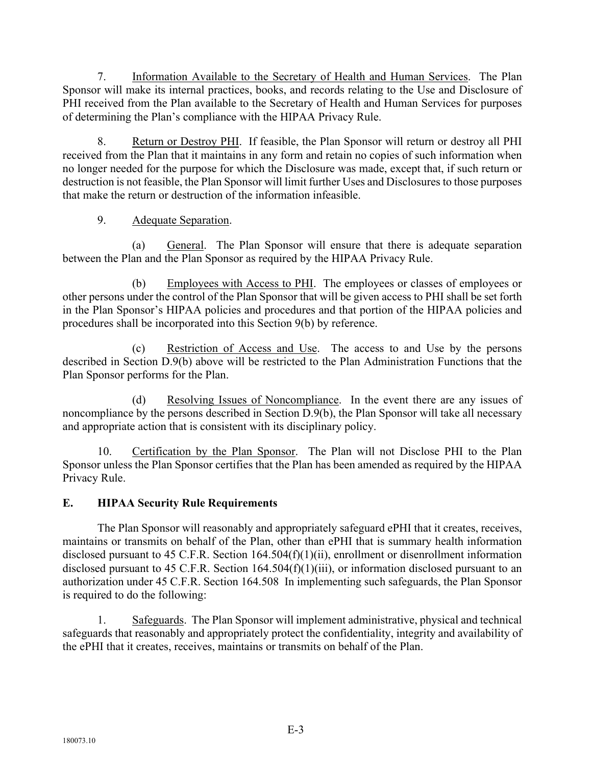7. Information Available to the Secretary of Health and Human Services. The Plan Sponsor will make its internal practices, books, and records relating to the Use and Disclosure of PHI received from the Plan available to the Secretary of Health and Human Services for purposes of determining the Plan's compliance with the HIPAA Privacy Rule.

8. Return or Destroy PHI. If feasible, the Plan Sponsor will return or destroy all PHI received from the Plan that it maintains in any form and retain no copies of such information when no longer needed for the purpose for which the Disclosure was made, except that, if such return or destruction is not feasible, the Plan Sponsor will limit further Uses and Disclosures to those purposes that make the return or destruction of the information infeasible.

# 9. Adequate Separation.

(a) General. The Plan Sponsor will ensure that there is adequate separation between the Plan and the Plan Sponsor as required by the HIPAA Privacy Rule.

(b) Employees with Access to PHI. The employees or classes of employees or other persons under the control of the Plan Sponsor that will be given access to PHI shall be set forth in the Plan Sponsor's HIPAA policies and procedures and that portion of the HIPAA policies and procedures shall be incorporated into this Section 9(b) by reference.

(c) Restriction of Access and Use. The access to and Use by the persons described in Section D.9(b) above will be restricted to the Plan Administration Functions that the Plan Sponsor performs for the Plan.

(d) Resolving Issues of Noncompliance. In the event there are any issues of noncompliance by the persons described in Section D.9(b), the Plan Sponsor will take all necessary and appropriate action that is consistent with its disciplinary policy.

10. Certification by the Plan Sponsor. The Plan will not Disclose PHI to the Plan Sponsor unless the Plan Sponsor certifies that the Plan has been amended as required by the HIPAA Privacy Rule.

# **E. HIPAA Security Rule Requirements**

The Plan Sponsor will reasonably and appropriately safeguard ePHI that it creates, receives, maintains or transmits on behalf of the Plan, other than ePHI that is summary health information disclosed pursuant to 45 C.F.R. Section 164.504(f)(1)(ii), enrollment or disenrollment information disclosed pursuant to 45 C.F.R. Section 164.504(f)(1)(iii), or information disclosed pursuant to an authorization under 45 C.F.R. Section 164.508 In implementing such safeguards, the Plan Sponsor is required to do the following:

1. Safeguards. The Plan Sponsor will implement administrative, physical and technical safeguards that reasonably and appropriately protect the confidentiality, integrity and availability of the ePHI that it creates, receives, maintains or transmits on behalf of the Plan.